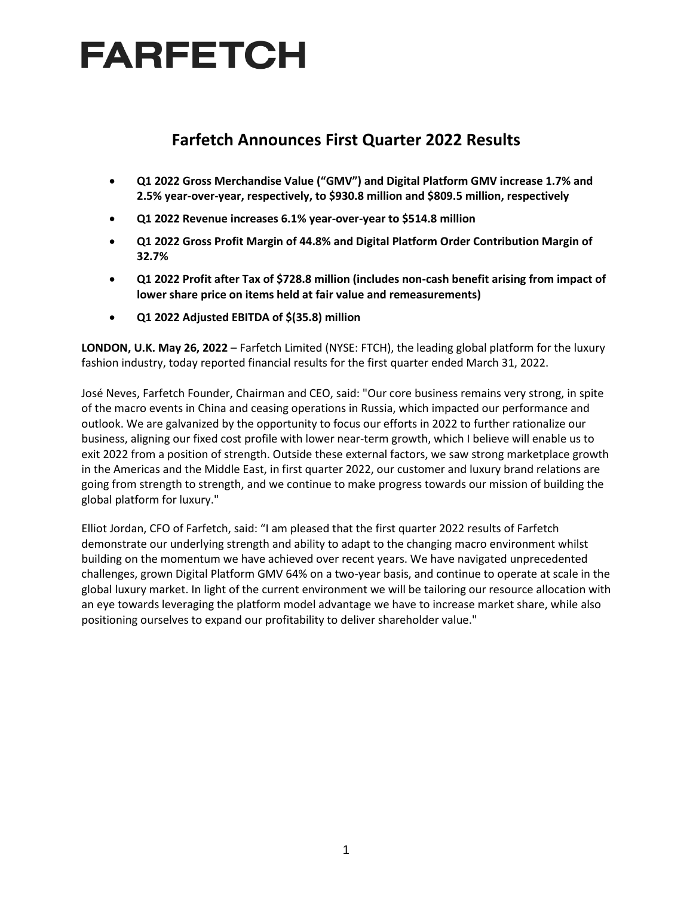### **Farfetch Announces First Quarter 2022 Results**

- **Q1 2022 Gross Merchandise Value ("GMV") and Digital Platform GMV increase 1.7% and 2.5% year-over-year, respectively, to \$930.8 million and \$809.5 million, respectively**
- **Q1 2022 Revenue increases 6.1% year-over-year to \$514.8 million**
- **Q1 2022 Gross Profit Margin of 44.8% and Digital Platform Order Contribution Margin of 32.7%**
- **Q1 2022 Profit after Tax of \$728.8 million (includes non-cash benefit arising from impact of lower share price on items held at fair value and remeasurements)**
- **Q1 2022 Adjusted EBITDA of \$(35.8) million**

**LONDON, U.K. May 26, 2022** – Farfetch Limited (NYSE: FTCH), the leading global platform for the luxury fashion industry, today reported financial results for the first quarter ended March 31, 2022.

José Neves, Farfetch Founder, Chairman and CEO, said: "Our core business remains very strong, in spite of the macro events in China and ceasing operations in Russia, which impacted our performance and outlook. We are galvanized by the opportunity to focus our efforts in 2022 to further rationalize our business, aligning our fixed cost profile with lower near-term growth, which I believe will enable us to exit 2022 from a position of strength. Outside these external factors, we saw strong marketplace growth in the Americas and the Middle East, in first quarter 2022, our customer and luxury brand relations are going from strength to strength, and we continue to make progress towards our mission of building the global platform for luxury."

Elliot Jordan, CFO of Farfetch, said: "I am pleased that the first quarter 2022 results of Farfetch demonstrate our underlying strength and ability to adapt to the changing macro environment whilst building on the momentum we have achieved over recent years. We have navigated unprecedented challenges, grown Digital Platform GMV 64% on a two-year basis, and continue to operate at scale in the global luxury market. In light of the current environment we will be tailoring our resource allocation with an eye towards leveraging the platform model advantage we have to increase market share, while also positioning ourselves to expand our profitability to deliver shareholder value."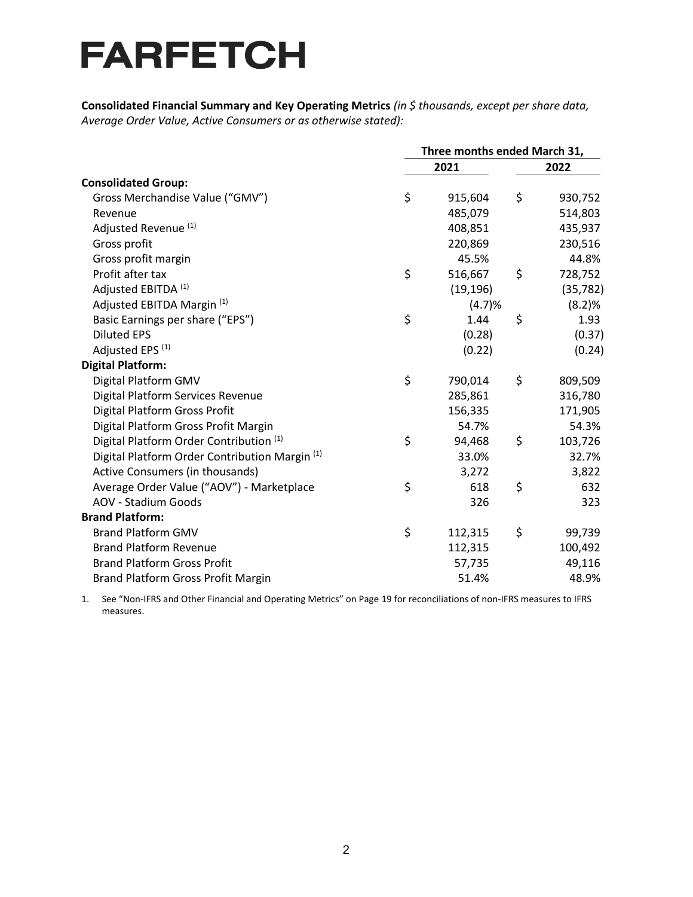**Consolidated Financial Summary and Key Operating Metrics** *(in \$ thousands, except per share data, Average Order Value, Active Consumers or as otherwise stated):*

|                                                           | Three months ended March 31, |           |    |           |
|-----------------------------------------------------------|------------------------------|-----------|----|-----------|
|                                                           |                              | 2021      |    | 2022      |
| <b>Consolidated Group:</b>                                |                              |           |    |           |
| Gross Merchandise Value ("GMV")                           | \$                           | 915,604   | \$ | 930,752   |
| Revenue                                                   |                              | 485,079   |    | 514,803   |
| Adjusted Revenue <sup>(1)</sup>                           |                              | 408,851   |    | 435,937   |
| Gross profit                                              |                              | 220,869   |    | 230,516   |
| Gross profit margin                                       |                              | 45.5%     |    | 44.8%     |
| Profit after tax                                          | \$                           | 516,667   | \$ | 728,752   |
| Adjusted EBITDA <sup>(1)</sup>                            |                              | (19, 196) |    | (35, 782) |
| Adjusted EBITDA Margin <sup>(1)</sup>                     |                              | (4.7)%    |    | (8.2)%    |
| Basic Earnings per share ("EPS")                          | \$                           | 1.44      | \$ | 1.93      |
| <b>Diluted EPS</b>                                        |                              | (0.28)    |    | (0.37)    |
| Adjusted EPS <sup>(1)</sup>                               |                              | (0.22)    |    | (0.24)    |
| <b>Digital Platform:</b>                                  |                              |           |    |           |
| Digital Platform GMV                                      | \$                           | 790,014   | \$ | 809,509   |
| Digital Platform Services Revenue                         |                              | 285,861   |    | 316,780   |
| Digital Platform Gross Profit                             |                              | 156,335   |    | 171,905   |
| Digital Platform Gross Profit Margin                      |                              | 54.7%     |    | 54.3%     |
| Digital Platform Order Contribution <sup>(1)</sup>        | \$                           | 94,468    | \$ | 103,726   |
| Digital Platform Order Contribution Margin <sup>(1)</sup> |                              | 33.0%     |    | 32.7%     |
| Active Consumers (in thousands)                           |                              | 3,272     |    | 3,822     |
| Average Order Value ("AOV") - Marketplace                 | \$                           | 618       | \$ | 632       |
| <b>AOV - Stadium Goods</b>                                |                              | 326       |    | 323       |
| <b>Brand Platform:</b>                                    |                              |           |    |           |
| <b>Brand Platform GMV</b>                                 | \$                           | 112,315   | \$ | 99,739    |
| <b>Brand Platform Revenue</b>                             |                              | 112,315   |    | 100,492   |
| <b>Brand Platform Gross Profit</b>                        |                              | 57,735    |    | 49,116    |
| <b>Brand Platform Gross Profit Margin</b>                 |                              | 51.4%     |    | 48.9%     |

1. See "Non-IFRS and Other Financial and Operating Metrics" on Page 19 for reconciliations of non-IFRS measures to IFRS measures.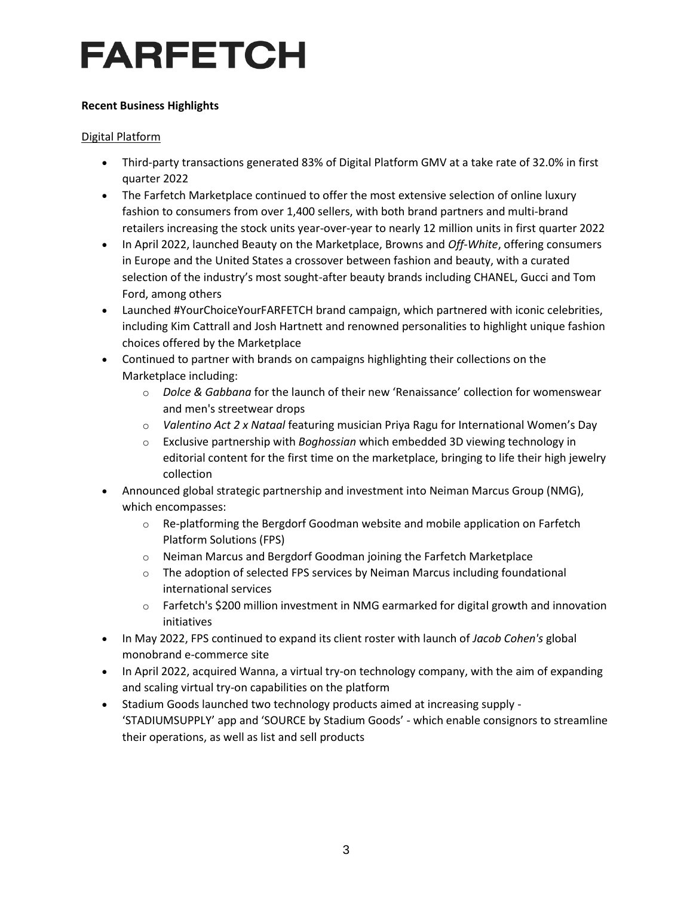#### **Recent Business Highlights**

#### Digital Platform

- Third-party transactions generated 83% of Digital Platform GMV at a take rate of 32.0% in first quarter 2022
- The Farfetch Marketplace continued to offer the most extensive selection of online luxury fashion to consumers from over 1,400 sellers, with both brand partners and multi-brand retailers increasing the stock units year-over-year to nearly 12 million units in first quarter 2022
- In April 2022, launched Beauty on the Marketplace, Browns and *Off-White*, offering consumers in Europe and the United States a crossover between fashion and beauty, with a curated selection of the industry's most sought-after beauty brands including CHANEL, Gucci and Tom Ford, among others
- Launched #YourChoiceYourFARFETCH brand campaign, which partnered with iconic celebrities, including Kim Cattrall and Josh Hartnett and renowned personalities to highlight unique fashion choices offered by the Marketplace
- Continued to partner with brands on campaigns highlighting their collections on the Marketplace including:
	- o *Dolce & Gabbana* for the launch of their new 'Renaissance' collection for womenswear and men's streetwear drops
	- o *Valentino Act 2 x Nataal* featuring musician Priya Ragu for International Women's Day
	- o Exclusive partnership with *Boghossian* which embedded 3D viewing technology in editorial content for the first time on the marketplace, bringing to life their high jewelry collection
- Announced global strategic partnership and investment into Neiman Marcus Group (NMG), which encompasses:
	- o Re-platforming the Bergdorf Goodman website and mobile application on Farfetch Platform Solutions (FPS)
	- o Neiman Marcus and Bergdorf Goodman joining the Farfetch Marketplace
	- o The adoption of selected FPS services by Neiman Marcus including foundational international services
	- $\circ$  Farfetch's \$200 million investment in NMG earmarked for digital growth and innovation initiatives
- In May 2022, FPS continued to expand its client roster with launch of *Jacob Cohen's* global monobrand e-commerce site
- In April 2022, acquired Wanna, a virtual try-on technology company, with the aim of expanding and scaling virtual try-on capabilities on the platform
- Stadium Goods launched two technology products aimed at increasing supply 'STADIUMSUPPLY' app and 'SOURCE by Stadium Goods' - which enable consignors to streamline their operations, as well as list and sell products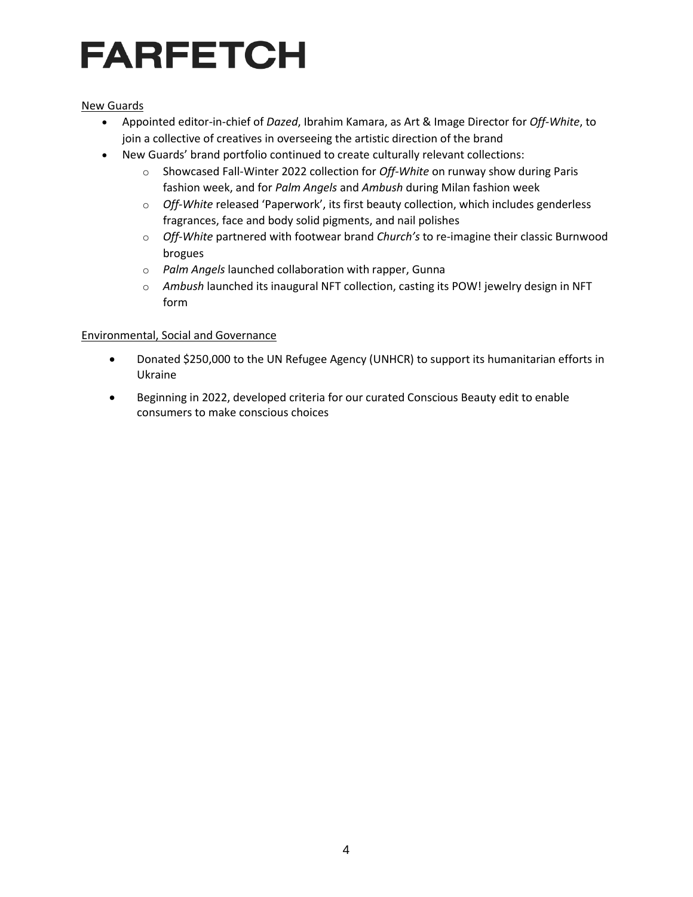### New Guards

- Appointed editor-in-chief of *Dazed*, Ibrahim Kamara, as Art & Image Director for *Off-White*, to join a collective of creatives in overseeing the artistic direction of the brand
- New Guards' brand portfolio continued to create culturally relevant collections:
	- o Showcased Fall-Winter 2022 collection for *Off-White* on runway show during Paris fashion week, and for *Palm Angels* and *Ambush* during Milan fashion week
	- o *Off-White* released 'Paperwork', its first beauty collection, which includes genderless fragrances, face and body solid pigments, and nail polishes
	- o *Off-White* partnered with footwear brand *Church's* to re-imagine their classic Burnwood brogues
	- o *Palm Angels* launched collaboration with rapper, Gunna
	- o *Ambush* launched its inaugural NFT collection, casting its POW! jewelry design in NFT form

#### Environmental, Social and Governance

- Donated \$250,000 to the UN Refugee Agency (UNHCR) to support its humanitarian efforts in Ukraine
- Beginning in 2022, developed criteria for our curated Conscious Beauty edit to enable consumers to make conscious choices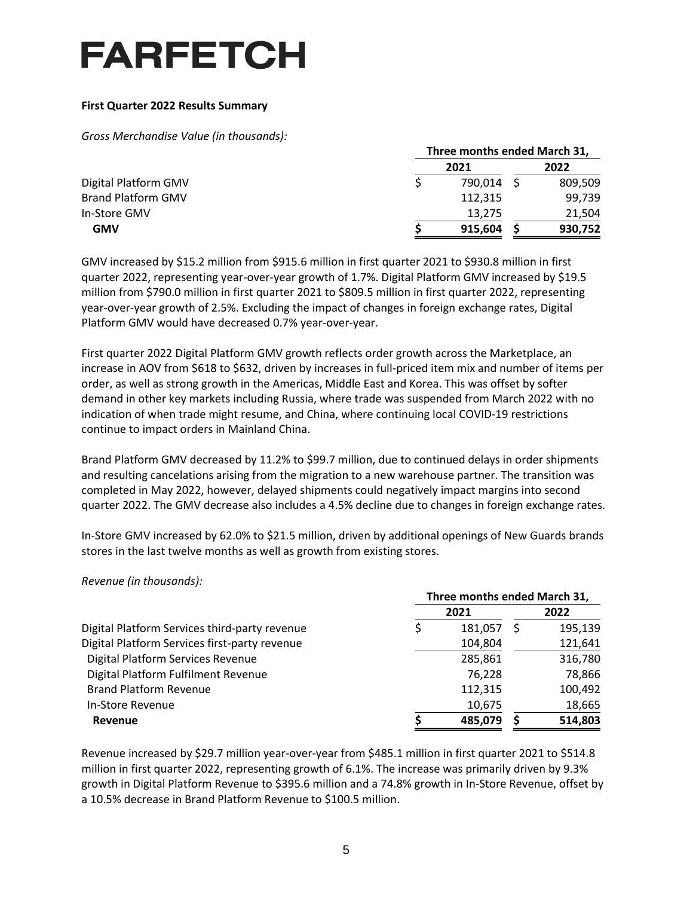#### **First Quarter 2022 Results Summary**

*Gross Merchandise Value (in thousands):*

|                           | Three months ended March 31, |         |  |         |
|---------------------------|------------------------------|---------|--|---------|
|                           |                              | 2021    |  | 2022    |
| Digital Platform GMV      |                              | 790.014 |  | 809,509 |
| <b>Brand Platform GMV</b> |                              | 112,315 |  | 99,739  |
| In-Store GMV              |                              | 13.275  |  | 21.504  |
| <b>GMV</b>                |                              | 915,604 |  | 930,752 |

GMV increased by \$15.2 million from \$915.6 million in first quarter 2021 to \$930.8 million in first quarter 2022, representing year-over-year growth of 1.7%. Digital Platform GMV increased by \$19.5 million from \$790.0 million in first quarter 2021 to \$809.5 million in first quarter 2022, representing year-over-year growth of 2.5%. Excluding the impact of changes in foreign exchange rates, Digital Platform GMV would have decreased 0.7% year-over-year.

First quarter 2022 Digital Platform GMV growth reflects order growth across the Marketplace, an increase in AOV from \$618 to \$632, driven by increases in full-priced item mix and number of items per order, as well as strong growth in the Americas, Middle East and Korea. This was offset by softer demand in other key markets including Russia, where trade was suspended from March 2022 with no indication of when trade might resume, and China, where continuing local COVID-19 restrictions continue to impact orders in Mainland China.

Brand Platform GMV decreased by 11.2% to \$99.7 million, due to continued delays in order shipments and resulting cancelations arising from the migration to a new warehouse partner. The transition was completed in May 2022, however, delayed shipments could negatively impact margins into second quarter 2022. The GMV decrease also includes a 4.5% decline due to changes in foreign exchange rates.

In-Store GMV increased by 62.0% to \$21.5 million, driven by additional openings of New Guards brands stores in the last twelve months as well as growth from existing stores.

*Revenue (in thousands):*

|                                               | Three months ended March 31, |         |  |         |  |  |
|-----------------------------------------------|------------------------------|---------|--|---------|--|--|
|                                               |                              | 2021    |  | 2022    |  |  |
| Digital Platform Services third-party revenue |                              | 181,057 |  | 195,139 |  |  |
| Digital Platform Services first-party revenue |                              | 104,804 |  | 121,641 |  |  |
| Digital Platform Services Revenue             |                              | 285,861 |  | 316,780 |  |  |
| Digital Platform Fulfilment Revenue           |                              | 76,228  |  | 78,866  |  |  |
| <b>Brand Platform Revenue</b>                 |                              | 112,315 |  | 100,492 |  |  |
| In-Store Revenue                              |                              | 10,675  |  | 18,665  |  |  |
| <b>Revenue</b>                                |                              | 485,079 |  | 514,803 |  |  |

Revenue increased by \$29.7 million year-over-year from \$485.1 million in first quarter 2021 to \$514.8 million in first quarter 2022, representing growth of 6.1%. The increase was primarily driven by 9.3% growth in Digital Platform Revenue to \$395.6 million and a 74.8% growth in In-Store Revenue, offset by a 10.5% decrease in Brand Platform Revenue to \$100.5 million.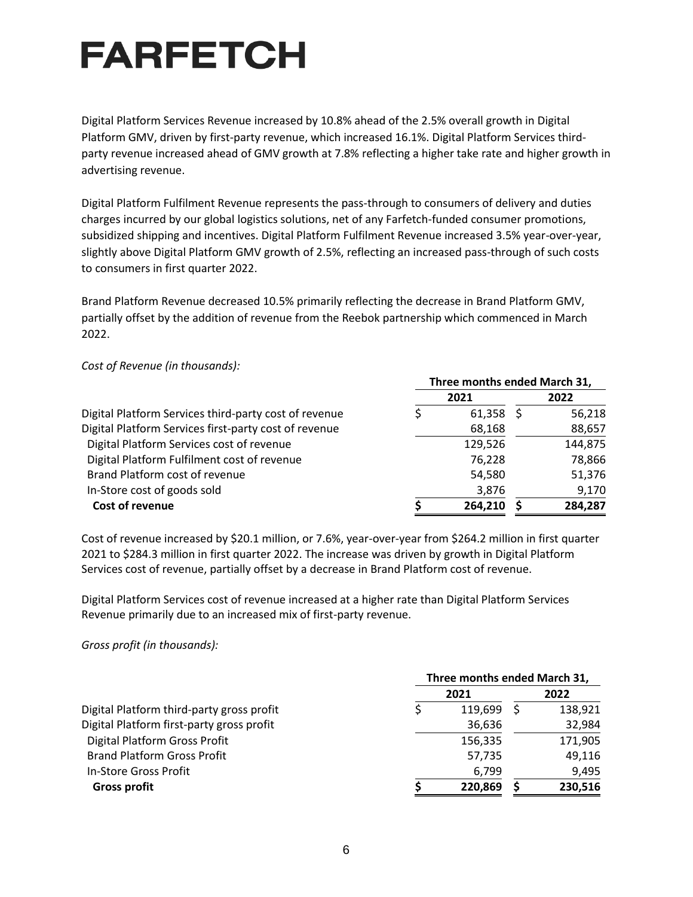Digital Platform Services Revenue increased by 10.8% ahead of the 2.5% overall growth in Digital Platform GMV, driven by first-party revenue, which increased 16.1%. Digital Platform Services thirdparty revenue increased ahead of GMV growth at 7.8% reflecting a higher take rate and higher growth in advertising revenue.

Digital Platform Fulfilment Revenue represents the pass-through to consumers of delivery and duties charges incurred by our global logistics solutions, net of any Farfetch-funded consumer promotions, subsidized shipping and incentives. Digital Platform Fulfilment Revenue increased 3.5% year-over-year, slightly above Digital Platform GMV growth of 2.5%, reflecting an increased pass-through of such costs to consumers in first quarter 2022.

Brand Platform Revenue decreased 10.5% primarily reflecting the decrease in Brand Platform GMV, partially offset by the addition of revenue from the Reebok partnership which commenced in March 2022.

#### *Cost of Revenue (in thousands):*

|                                                       | Three months ended March 31, |             |  |         |
|-------------------------------------------------------|------------------------------|-------------|--|---------|
|                                                       |                              | 2021        |  | 2022    |
| Digital Platform Services third-party cost of revenue |                              | $61,358$ \$ |  | 56,218  |
| Digital Platform Services first-party cost of revenue |                              | 68,168      |  | 88,657  |
| Digital Platform Services cost of revenue             |                              | 129,526     |  | 144,875 |
| Digital Platform Fulfilment cost of revenue           |                              | 76,228      |  | 78,866  |
| Brand Platform cost of revenue                        |                              | 54,580      |  | 51,376  |
| In-Store cost of goods sold                           |                              | 3,876       |  | 9,170   |
| <b>Cost of revenue</b>                                |                              | 264,210     |  | 284,287 |

Cost of revenue increased by \$20.1 million, or 7.6%, year-over-year from \$264.2 million in first quarter 2021 to \$284.3 million in first quarter 2022. The increase was driven by growth in Digital Platform Services cost of revenue, partially offset by a decrease in Brand Platform cost of revenue.

Digital Platform Services cost of revenue increased at a higher rate than Digital Platform Services Revenue primarily due to an increased mix of first-party revenue.

*Gross profit (in thousands):*

|                                           | Three months ended March 31, |         |  |         |  |  |
|-------------------------------------------|------------------------------|---------|--|---------|--|--|
|                                           |                              | 2021    |  | 2022    |  |  |
| Digital Platform third-party gross profit |                              | 119,699 |  | 138,921 |  |  |
| Digital Platform first-party gross profit |                              | 36,636  |  | 32,984  |  |  |
| Digital Platform Gross Profit             |                              | 156,335 |  | 171,905 |  |  |
| <b>Brand Platform Gross Profit</b>        |                              | 57,735  |  | 49,116  |  |  |
| In-Store Gross Profit                     |                              | 6,799   |  | 9,495   |  |  |
| <b>Gross profit</b>                       |                              | 220,869 |  | 230,516 |  |  |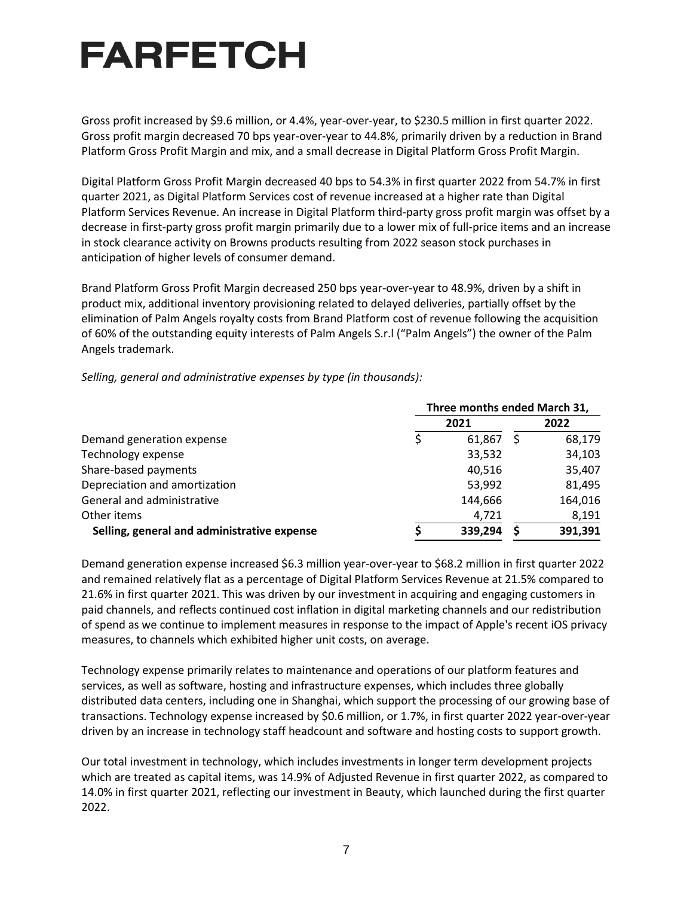Gross profit increased by \$9.6 million, or 4.4%, year-over-year, to \$230.5 million in first quarter 2022. Gross profit margin decreased 70 bps year-over-year to 44.8%, primarily driven by a reduction in Brand Platform Gross Profit Margin and mix, and a small decrease in Digital Platform Gross Profit Margin.

Digital Platform Gross Profit Margin decreased 40 bps to 54.3% in first quarter 2022 from 54.7% in first quarter 2021, as Digital Platform Services cost of revenue increased at a higher rate than Digital Platform Services Revenue. An increase in Digital Platform third-party gross profit margin was offset by a decrease in first-party gross profit margin primarily due to a lower mix of full-price items and an increase in stock clearance activity on Browns products resulting from 2022 season stock purchases in anticipation of higher levels of consumer demand.

Brand Platform Gross Profit Margin decreased 250 bps year-over-year to 48.9%, driven by a shift in product mix, additional inventory provisioning related to delayed deliveries, partially offset by the elimination of Palm Angels royalty costs from Brand Platform cost of revenue following the acquisition of 60% of the outstanding equity interests of Palm Angels S.r.l ("Palm Angels") the owner of the Palm Angels trademark.

*Selling, general and administrative expenses by type (in thousands):*

|                                             | Three months ended March 31, |         |  |         |  |
|---------------------------------------------|------------------------------|---------|--|---------|--|
|                                             |                              | 2021    |  | 2022    |  |
| Demand generation expense                   |                              | 61,867  |  | 68,179  |  |
| Technology expense                          |                              | 33,532  |  | 34,103  |  |
| Share-based payments                        |                              | 40.516  |  | 35,407  |  |
| Depreciation and amortization               |                              | 53,992  |  | 81,495  |  |
| General and administrative                  |                              | 144,666 |  | 164,016 |  |
| Other items                                 |                              | 4,721   |  | 8,191   |  |
| Selling, general and administrative expense |                              | 339,294 |  | 391,391 |  |

Demand generation expense increased \$6.3 million year-over-year to \$68.2 million in first quarter 2022 and remained relatively flat as a percentage of Digital Platform Services Revenue at 21.5% compared to 21.6% in first quarter 2021. This was driven by our investment in acquiring and engaging customers in paid channels, and reflects continued cost inflation in digital marketing channels and our redistribution of spend as we continue to implement measures in response to the impact of Apple's recent iOS privacy measures, to channels which exhibited higher unit costs, on average.

Technology expense primarily relates to maintenance and operations of our platform features and services, as well as software, hosting and infrastructure expenses, which includes three globally distributed data centers, including one in Shanghai, which support the processing of our growing base of transactions. Technology expense increased by \$0.6 million, or 1.7%, in first quarter 2022 year-over-year driven by an increase in technology staff headcount and software and hosting costs to support growth.

Our total investment in technology, which includes investments in longer term development projects which are treated as capital items, was 14.9% of Adjusted Revenue in first quarter 2022, as compared to 14.0% in first quarter 2021, reflecting our investment in Beauty, which launched during the first quarter 2022.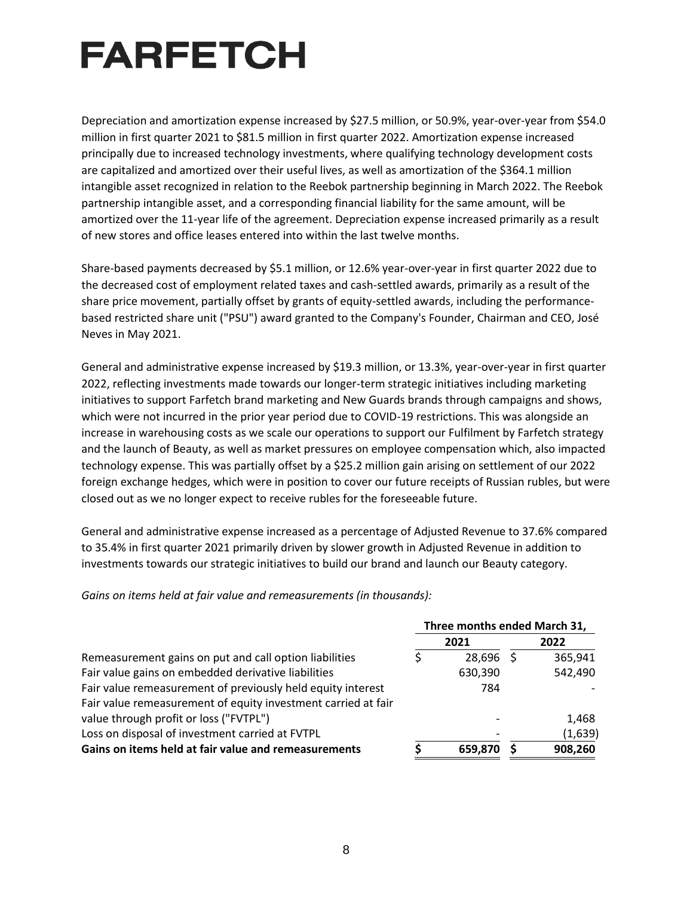Depreciation and amortization expense increased by \$27.5 million, or 50.9%, year-over-year from \$54.0 million in first quarter 2021 to \$81.5 million in first quarter 2022. Amortization expense increased principally due to increased technology investments, where qualifying technology development costs are capitalized and amortized over their useful lives, as well as amortization of the \$364.1 million intangible asset recognized in relation to the Reebok partnership beginning in March 2022. The Reebok partnership intangible asset, and a corresponding financial liability for the same amount, will be amortized over the 11-year life of the agreement. Depreciation expense increased primarily as a result of new stores and office leases entered into within the last twelve months.

Share-based payments decreased by \$5.1 million, or 12.6% year-over-year in first quarter 2022 due to the decreased cost of employment related taxes and cash-settled awards, primarily as a result of the share price movement, partially offset by grants of equity-settled awards, including the performancebased restricted share unit ("PSU") award granted to the Company's Founder, Chairman and CEO, José Neves in May 2021.

General and administrative expense increased by \$19.3 million, or 13.3%, year-over-year in first quarter 2022, reflecting investments made towards our longer-term strategic initiatives including marketing initiatives to support Farfetch brand marketing and New Guards brands through campaigns and shows, which were not incurred in the prior year period due to COVID-19 restrictions. This was alongside an increase in warehousing costs as we scale our operations to support our Fulfilment by Farfetch strategy and the launch of Beauty, as well as market pressures on employee compensation which, also impacted technology expense. This was partially offset by a \$25.2 million gain arising on settlement of our 2022 foreign exchange hedges, which were in position to cover our future receipts of Russian rubles, but were closed out as we no longer expect to receive rubles for the foreseeable future.

General and administrative expense increased as a percentage of Adjusted Revenue to 37.6% compared to 35.4% in first quarter 2021 primarily driven by slower growth in Adjusted Revenue in addition to investments towards our strategic initiatives to build our brand and launch our Beauty category.

*Gains on items held at fair value and remeasurements (in thousands):* 

|                                                               | Three months ended March 31, |         |
|---------------------------------------------------------------|------------------------------|---------|
|                                                               | 2021                         | 2022    |
| Remeasurement gains on put and call option liabilities        | 28,696                       | 365,941 |
| Fair value gains on embedded derivative liabilities           | 630,390                      | 542,490 |
| Fair value remeasurement of previously held equity interest   | 784                          |         |
| Fair value remeasurement of equity investment carried at fair |                              |         |
| value through profit or loss ("FVTPL")                        |                              | 1,468   |
| Loss on disposal of investment carried at FVTPL               |                              | (1,639) |
| Gains on items held at fair value and remeasurements          | 659.870                      | 908,260 |
|                                                               |                              |         |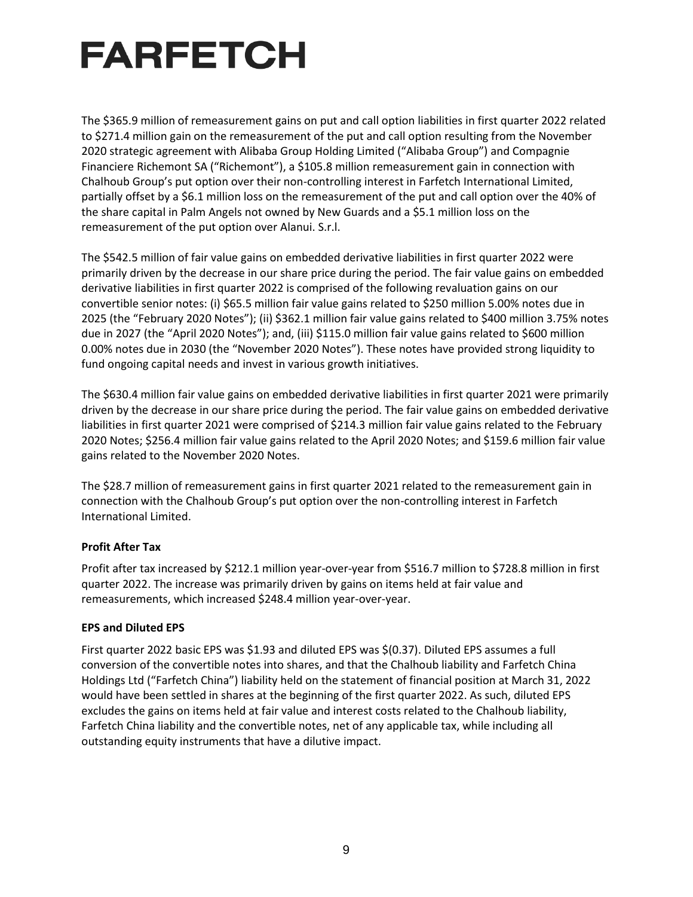The \$365.9 million of remeasurement gains on put and call option liabilities in first quarter 2022 related to \$271.4 million gain on the remeasurement of the put and call option resulting from the November 2020 strategic agreement with Alibaba Group Holding Limited ("Alibaba Group") and Compagnie Financiere Richemont SA ("Richemont"), a \$105.8 million remeasurement gain in connection with Chalhoub Group's put option over their non-controlling interest in Farfetch International Limited, partially offset by a \$6.1 million loss on the remeasurement of the put and call option over the 40% of the share capital in Palm Angels not owned by New Guards and a \$5.1 million loss on the remeasurement of the put option over Alanui. S.r.l.

The \$542.5 million of fair value gains on embedded derivative liabilities in first quarter 2022 were primarily driven by the decrease in our share price during the period. The fair value gains on embedded derivative liabilities in first quarter 2022 is comprised of the following revaluation gains on our convertible senior notes: (i) \$65.5 million fair value gains related to \$250 million 5.00% notes due in 2025 (the "February 2020 Notes"); (ii) \$362.1 million fair value gains related to \$400 million 3.75% notes due in 2027 (the "April 2020 Notes"); and, (iii) \$115.0 million fair value gains related to \$600 million 0.00% notes due in 2030 (the "November 2020 Notes"). These notes have provided strong liquidity to fund ongoing capital needs and invest in various growth initiatives.

The \$630.4 million fair value gains on embedded derivative liabilities in first quarter 2021 were primarily driven by the decrease in our share price during the period. The fair value gains on embedded derivative liabilities in first quarter 2021 were comprised of \$214.3 million fair value gains related to the February 2020 Notes; \$256.4 million fair value gains related to the April 2020 Notes; and \$159.6 million fair value gains related to the November 2020 Notes.

The \$28.7 million of remeasurement gains in first quarter 2021 related to the remeasurement gain in connection with the Chalhoub Group's put option over the non-controlling interest in Farfetch International Limited.

#### **Profit After Tax**

Profit after tax increased by \$212.1 million year-over-year from \$516.7 million to \$728.8 million in first quarter 2022. The increase was primarily driven by gains on items held at fair value and remeasurements, which increased \$248.4 million year-over-year.

#### **EPS and Diluted EPS**

First quarter 2022 basic EPS was \$1.93 and diluted EPS was \$(0.37). Diluted EPS assumes a full conversion of the convertible notes into shares, and that the Chalhoub liability and Farfetch China Holdings Ltd ("Farfetch China") liability held on the statement of financial position at March 31, 2022 would have been settled in shares at the beginning of the first quarter 2022. As such, diluted EPS excludes the gains on items held at fair value and interest costs related to the Chalhoub liability, Farfetch China liability and the convertible notes, net of any applicable tax, while including all outstanding equity instruments that have a dilutive impact.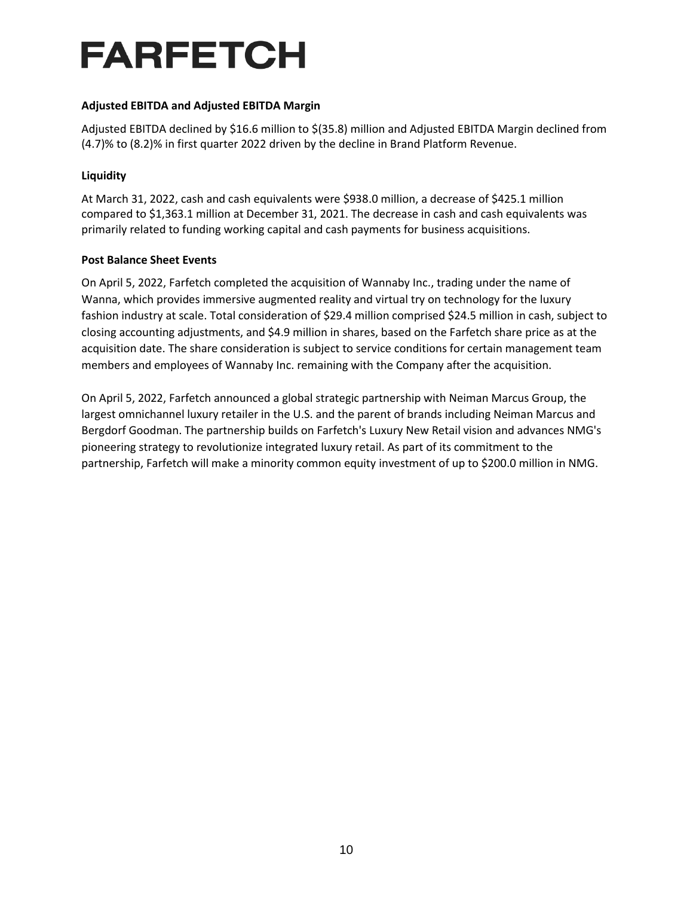#### **Adjusted EBITDA and Adjusted EBITDA Margin**

Adjusted EBITDA declined by \$16.6 million to \$(35.8) million and Adjusted EBITDA Margin declined from (4.7)% to (8.2)% in first quarter 2022 driven by the decline in Brand Platform Revenue.

#### **Liquidity**

At March 31, 2022, cash and cash equivalents were \$938.0 million, a decrease of \$425.1 million compared to \$1,363.1 million at December 31, 2021. The decrease in cash and cash equivalents was primarily related to funding working capital and cash payments for business acquisitions.

#### **Post Balance Sheet Events**

On April 5, 2022, Farfetch completed the acquisition of Wannaby Inc., trading under the name of Wanna, which provides immersive augmented reality and virtual try on technology for the luxury fashion industry at scale. Total consideration of \$29.4 million comprised \$24.5 million in cash, subject to closing accounting adjustments, and \$4.9 million in shares, based on the Farfetch share price as at the acquisition date. The share consideration is subject to service conditions for certain management team members and employees of Wannaby Inc. remaining with the Company after the acquisition.

On April 5, 2022, Farfetch announced a global strategic partnership with Neiman Marcus Group, the largest omnichannel luxury retailer in the U.S. and the parent of brands including Neiman Marcus and Bergdorf Goodman. The partnership builds on Farfetch's Luxury New Retail vision and advances NMG's pioneering strategy to revolutionize integrated luxury retail. As part of its commitment to the partnership, Farfetch will make a minority common equity investment of up to \$200.0 million in NMG.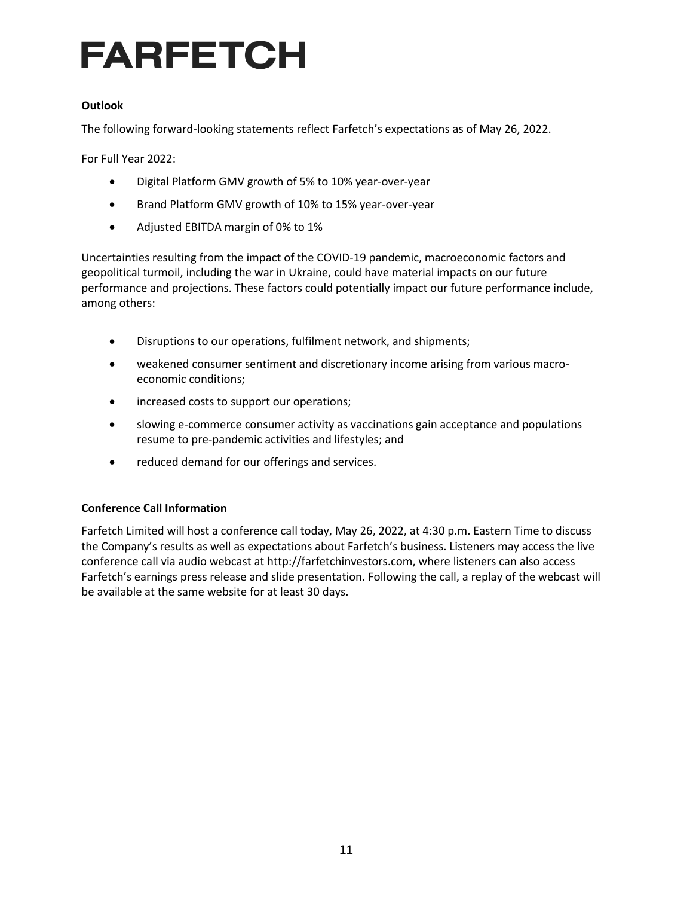#### **Outlook**

The following forward-looking statements reflect Farfetch's expectations as of May 26, 2022.

For Full Year 2022:

- Digital Platform GMV growth of 5% to 10% year-over-year
- Brand Platform GMV growth of 10% to 15% year-over-year
- Adjusted EBITDA margin of 0% to 1%

Uncertainties resulting from the impact of the COVID-19 pandemic, macroeconomic factors and geopolitical turmoil, including the war in Ukraine, could have material impacts on our future performance and projections. These factors could potentially impact our future performance include, among others:

- Disruptions to our operations, fulfilment network, and shipments;
- weakened consumer sentiment and discretionary income arising from various macroeconomic conditions;
- increased costs to support our operations;
- slowing e-commerce consumer activity as vaccinations gain acceptance and populations resume to pre-pandemic activities and lifestyles; and
- reduced demand for our offerings and services.

#### **Conference Call Information**

Farfetch Limited will host a conference call today, May 26, 2022, at 4:30 p.m. Eastern Time to discuss the Company's results as well as expectations about Farfetch's business. Listeners may access the live conference call via audio webcast at http://farfetchinvestors.com, where listeners can also access Farfetch's earnings press release and slide presentation. Following the call, a replay of the webcast will be available at the same website for at least 30 days.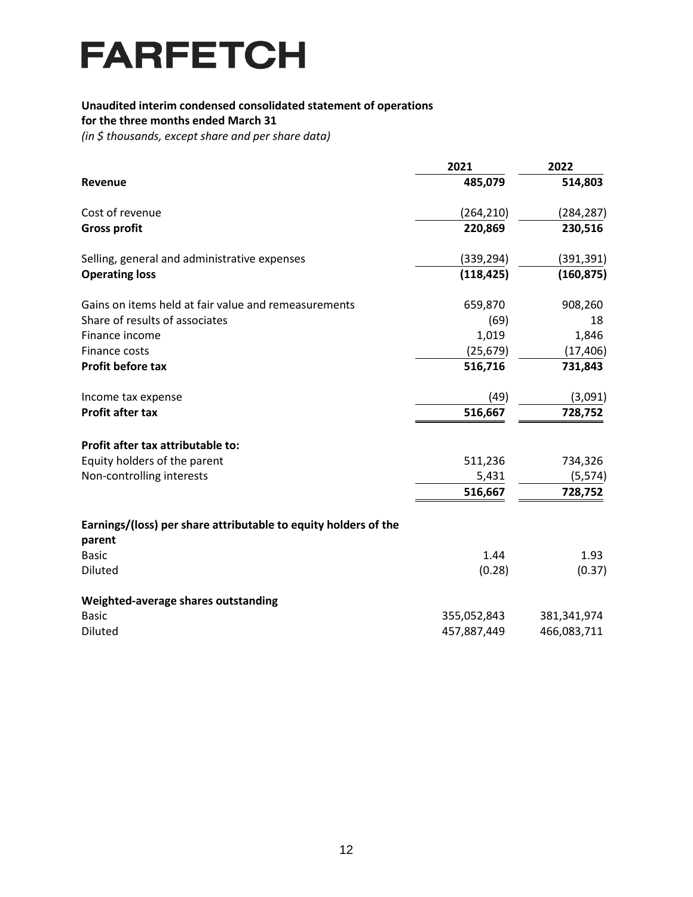**Unaudited interim condensed consolidated statement of operations for the three months ended March 31**

*(in \$ thousands, except share and per share data)*

|                                                                 | 2021        | 2022        |  |  |
|-----------------------------------------------------------------|-------------|-------------|--|--|
| <b>Revenue</b>                                                  | 485,079     | 514,803     |  |  |
| Cost of revenue                                                 | (264, 210)  | (284, 287)  |  |  |
| <b>Gross profit</b>                                             | 220,869     | 230,516     |  |  |
| Selling, general and administrative expenses                    | (339, 294)  | (391, 391)  |  |  |
| <b>Operating loss</b>                                           | (118, 425)  | (160, 875)  |  |  |
| Gains on items held at fair value and remeasurements            | 659,870     | 908,260     |  |  |
| Share of results of associates                                  | (69)        | 18          |  |  |
| Finance income                                                  | 1,019       | 1,846       |  |  |
| Finance costs                                                   | (25, 679)   | (17, 406)   |  |  |
| Profit before tax                                               | 516,716     | 731,843     |  |  |
| Income tax expense                                              | (49)        | (3,091)     |  |  |
| <b>Profit after tax</b>                                         | 516,667     | 728,752     |  |  |
| Profit after tax attributable to:                               |             |             |  |  |
| Equity holders of the parent                                    | 511,236     | 734,326     |  |  |
| Non-controlling interests                                       | 5,431       | (5, 574)    |  |  |
|                                                                 | 516,667     | 728,752     |  |  |
| Earnings/(loss) per share attributable to equity holders of the |             |             |  |  |
| parent                                                          |             |             |  |  |
| <b>Basic</b>                                                    | 1.44        | 1.93        |  |  |
| <b>Diluted</b>                                                  | (0.28)      | (0.37)      |  |  |
| Weighted-average shares outstanding                             |             |             |  |  |
| <b>Basic</b>                                                    | 355,052,843 | 381,341,974 |  |  |
| Diluted                                                         | 457,887,449 | 466,083,711 |  |  |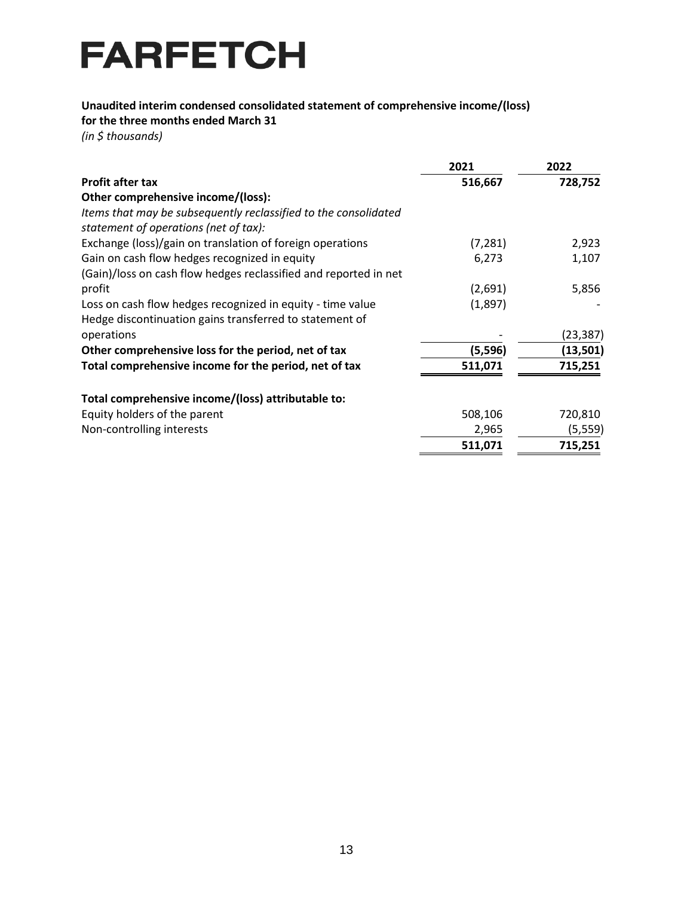#### **Unaudited interim condensed consolidated statement of comprehensive income/(loss) for the three months ended March 31**

*(in \$ thousands)*

|                                                                  | 2021     | 2022      |
|------------------------------------------------------------------|----------|-----------|
| <b>Profit after tax</b>                                          | 516,667  | 728,752   |
| Other comprehensive income/(loss):                               |          |           |
| Items that may be subsequently reclassified to the consolidated  |          |           |
| statement of operations (net of tax):                            |          |           |
| Exchange (loss)/gain on translation of foreign operations        | (7, 281) | 2,923     |
| Gain on cash flow hedges recognized in equity                    | 6,273    | 1,107     |
| (Gain)/loss on cash flow hedges reclassified and reported in net |          |           |
| profit                                                           | (2,691)  | 5,856     |
| Loss on cash flow hedges recognized in equity - time value       | (1,897)  |           |
| Hedge discontinuation gains transferred to statement of          |          |           |
| operations                                                       |          | (23,387)  |
| Other comprehensive loss for the period, net of tax              | (5, 596) | (13, 501) |
| Total comprehensive income for the period, net of tax            | 511,071  | 715,251   |
| Total comprehensive income/(loss) attributable to:               |          |           |
| Equity holders of the parent                                     | 508,106  | 720,810   |
| Non-controlling interests                                        | 2,965    | (5, 559)  |
|                                                                  | 511,071  | 715,251   |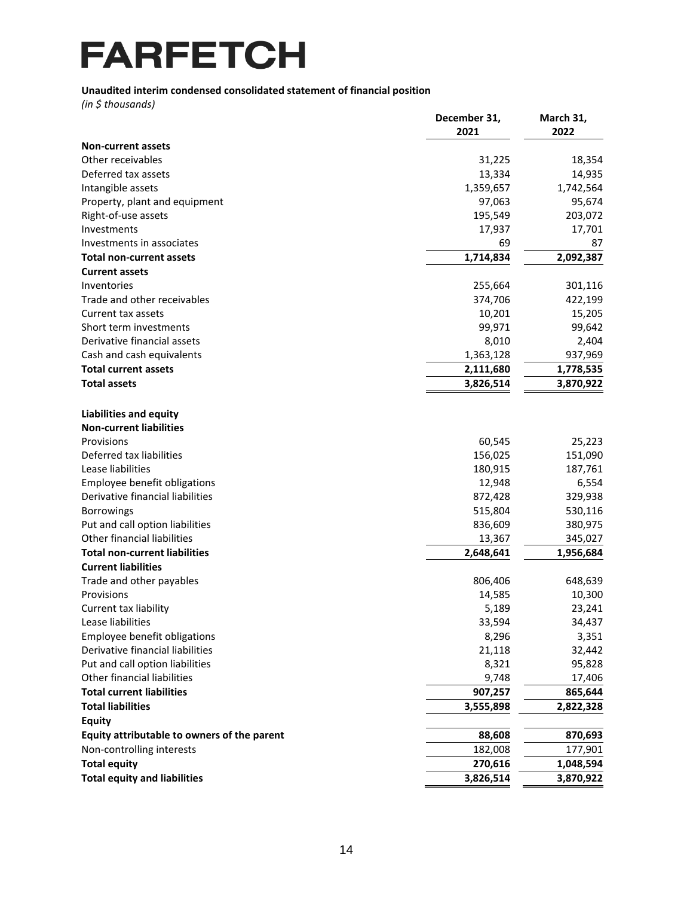#### **Unaudited interim condensed consolidated statement of financial position**

*(in \$ thousands)*

|                                             | December 31, |           |
|---------------------------------------------|--------------|-----------|
|                                             | 2021         | 2022      |
| <b>Non-current assets</b>                   |              |           |
| Other receivables                           | 31,225       | 18,354    |
| Deferred tax assets                         | 13,334       | 14,935    |
| Intangible assets                           | 1,359,657    | 1,742,564 |
| Property, plant and equipment               | 97,063       | 95,674    |
| Right-of-use assets                         | 195,549      | 203,072   |
| Investments                                 | 17,937       | 17,701    |
| Investments in associates                   | 69           | 87        |
| <b>Total non-current assets</b>             | 1,714,834    | 2,092,387 |
| <b>Current assets</b>                       |              |           |
| Inventories                                 | 255,664      | 301,116   |
| Trade and other receivables                 | 374,706      | 422,199   |
| Current tax assets                          | 10,201       | 15,205    |
| Short term investments                      | 99,971       | 99,642    |
| Derivative financial assets                 | 8,010        | 2,404     |
| Cash and cash equivalents                   | 1,363,128    | 937,969   |
| <b>Total current assets</b>                 | 2,111,680    | 1,778,535 |
| <b>Total assets</b>                         | 3,826,514    | 3,870,922 |
| <b>Liabilities and equity</b>               |              |           |
| <b>Non-current liabilities</b>              |              |           |
| Provisions                                  | 60,545       | 25,223    |
| Deferred tax liabilities                    | 156,025      | 151,090   |
| Lease liabilities                           | 180,915      | 187,761   |
| Employee benefit obligations                | 12,948       | 6,554     |
| Derivative financial liabilities            | 872,428      | 329,938   |
| <b>Borrowings</b>                           | 515,804      | 530,116   |
| Put and call option liabilities             | 836,609      | 380,975   |
| Other financial liabilities                 | 13,367       | 345,027   |
| <b>Total non-current liabilities</b>        | 2,648,641    | 1,956,684 |
| <b>Current liabilities</b>                  |              |           |
| Trade and other payables                    | 806,406      | 648,639   |
| Provisions                                  | 14,585       | 10,300    |
| Current tax liability                       | 5,189        | 23,241    |
| Lease liabilities                           | 33,594       | 34,437    |
| Employee benefit obligations                | 8,296        | 3,351     |
| Derivative financial liabilities            | 21,118       | 32,442    |
| Put and call option liabilities             | 8,321        | 95,828    |
| Other financial liabilities                 | 9,748        | 17,406    |
| <b>Total current liabilities</b>            | 907,257      | 865,644   |
| <b>Total liabilities</b>                    | 3,555,898    | 2,822,328 |
| <b>Equity</b>                               |              |           |
| Equity attributable to owners of the parent | 88,608       | 870,693   |
| Non-controlling interests                   | 182,008      | 177,901   |
| <b>Total equity</b>                         | 270,616      | 1,048,594 |
| <b>Total equity and liabilities</b>         | 3,826,514    | 3,870,922 |
|                                             |              |           |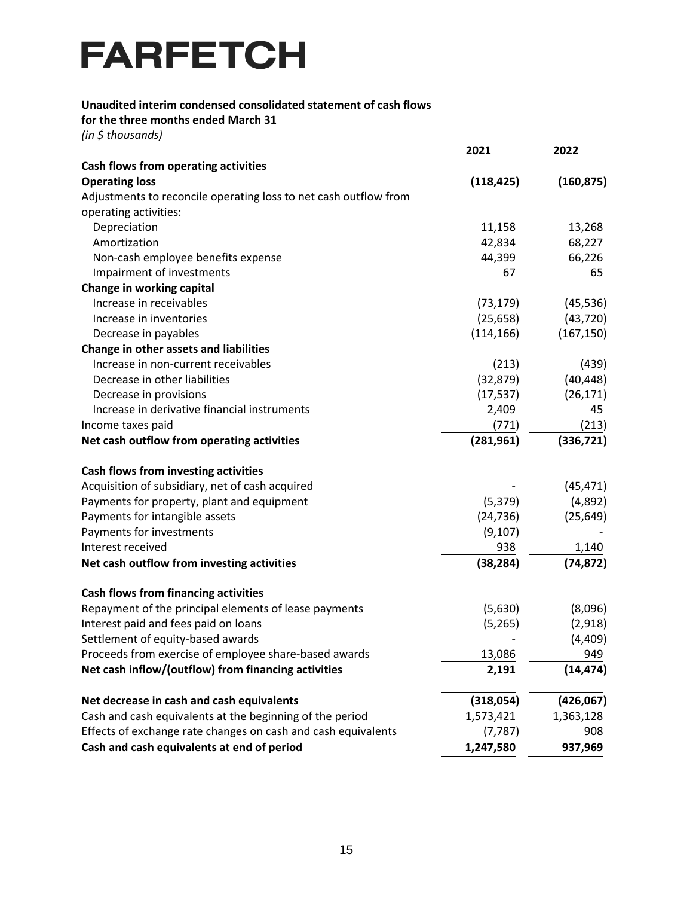#### **Unaudited interim condensed consolidated statement of cash flows**

**for the three months ended March 31**

*(in \$ thousands)*

|                                                                  | 2021       | 2022       |
|------------------------------------------------------------------|------------|------------|
| Cash flows from operating activities                             |            |            |
| <b>Operating loss</b>                                            | (118, 425) | (160, 875) |
| Adjustments to reconcile operating loss to net cash outflow from |            |            |
| operating activities:                                            |            |            |
| Depreciation                                                     | 11,158     | 13,268     |
| Amortization                                                     | 42,834     | 68,227     |
| Non-cash employee benefits expense                               | 44,399     | 66,226     |
| Impairment of investments                                        | 67         | 65         |
| Change in working capital                                        |            |            |
| Increase in receivables                                          | (73, 179)  | (45, 536)  |
| Increase in inventories                                          | (25, 658)  | (43, 720)  |
| Decrease in payables                                             | (114, 166) | (167, 150) |
| Change in other assets and liabilities                           |            |            |
| Increase in non-current receivables                              | (213)      | (439)      |
| Decrease in other liabilities                                    | (32, 879)  | (40, 448)  |
| Decrease in provisions                                           | (17, 537)  | (26, 171)  |
| Increase in derivative financial instruments                     | 2,409      | 45         |
| Income taxes paid                                                | (771)      | (213)      |
| Net cash outflow from operating activities                       | (281, 961) | (336, 721) |
| Cash flows from investing activities                             |            |            |
| Acquisition of subsidiary, net of cash acquired                  |            | (45, 471)  |
| Payments for property, plant and equipment                       | (5, 379)   | (4,892)    |
| Payments for intangible assets                                   | (24, 736)  | (25, 649)  |
| Payments for investments                                         | (9, 107)   |            |
| Interest received                                                | 938        | 1,140      |
| Net cash outflow from investing activities                       | (38, 284)  | (74, 872)  |
| <b>Cash flows from financing activities</b>                      |            |            |
| Repayment of the principal elements of lease payments            | (5,630)    | (8,096)    |
| Interest paid and fees paid on loans                             | (5,265)    | (2,918)    |
| Settlement of equity-based awards                                |            | (4,409)    |
| Proceeds from exercise of employee share-based awards            | 13,086     | 949        |
| Net cash inflow/(outflow) from financing activities              | 2,191      | (14, 474)  |
| Net decrease in cash and cash equivalents                        | (318,054)  | (426,067)  |
| Cash and cash equivalents at the beginning of the period         | 1,573,421  | 1,363,128  |
| Effects of exchange rate changes on cash and cash equivalents    | (7, 787)   | 908        |
| Cash and cash equivalents at end of period                       | 1,247,580  | 937,969    |
|                                                                  |            |            |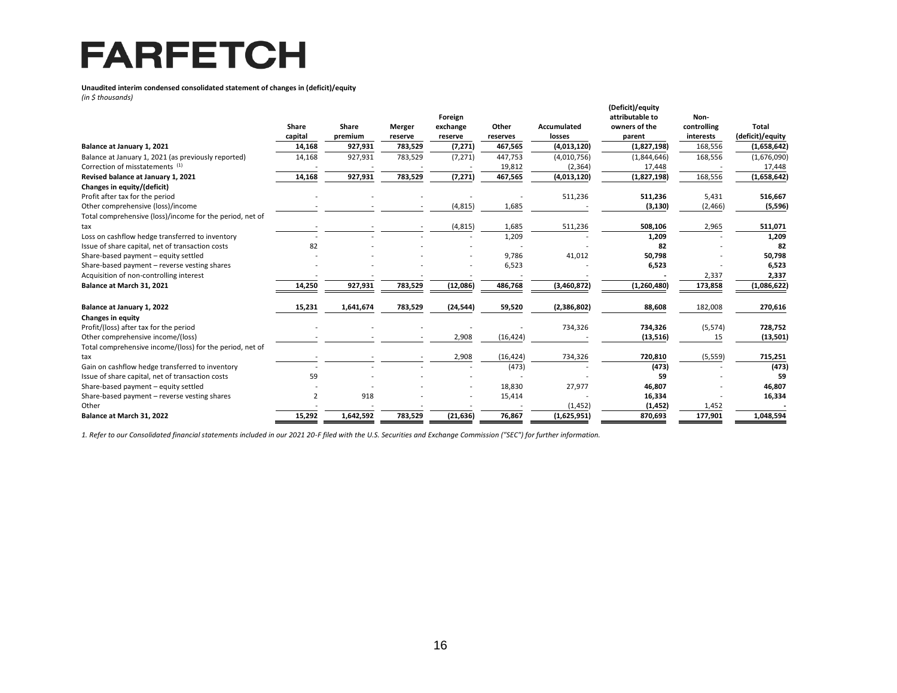#### **Unaudited interim condensed consolidated statement of changes in (deficit)/equity**

*(in \$ thousands)*

|                                                          |                |           |         | Foreign   |           |                    | (Deficit)/equity<br>attributable to | Non-        |                  |
|----------------------------------------------------------|----------------|-----------|---------|-----------|-----------|--------------------|-------------------------------------|-------------|------------------|
|                                                          | Share          | Share     | Merger  | exchange  | Other     | <b>Accumulated</b> | owners of the                       | controlling | <b>Total</b>     |
|                                                          | capital        | premium   | reserve | reserve   | reserves  | losses             | parent                              | interests   | (deficit)/equity |
| Balance at January 1, 2021                               | 14,168         | 927,931   | 783,529 | (7, 271)  | 467,565   | (4,013,120)        | (1,827,198)                         | 168,556     | (1,658,642)      |
| Balance at January 1, 2021 (as previously reported)      | 14,168         | 927,931   | 783,529 | (7, 271)  | 447,753   | (4,010,756)        | (1,844,646)                         | 168,556     | (1,676,090)      |
| Correction of misstatements (1)                          |                |           |         |           | 19,812    | (2, 364)           | 17,448                              |             | 17,448           |
| Revised balance at January 1, 2021                       | 14,168         | 927,931   | 783,529 | (7, 271)  | 467,565   | (4,013,120)        | (1,827,198)                         | 168,556     | (1,658,642)      |
| Changes in equity/(deficit)                              |                |           |         |           |           |                    |                                     |             |                  |
| Profit after tax for the period                          |                |           |         |           |           | 511,236            | 511,236                             | 5,431       | 516,667          |
| Other comprehensive (loss)/income                        |                |           |         | (4, 815)  | 1,685     |                    | (3, 130)                            | (2,466)     | (5, 596)         |
| Total comprehensive (loss)/income for the period, net of |                |           |         |           |           |                    |                                     |             |                  |
| tax                                                      |                |           |         | (4, 815)  | 1,685     | 511,236            | 508,106                             | 2,965       | 511,071          |
| Loss on cashflow hedge transferred to inventory          |                |           |         |           | 1,209     |                    | 1,209                               |             | 1,209            |
| Issue of share capital, net of transaction costs         | 82             |           |         |           |           |                    | 82                                  |             | -82              |
| Share-based payment - equity settled                     |                |           |         |           | 9,786     | 41,012             | 50,798                              |             | 50,798           |
| Share-based payment - reverse vesting shares             |                |           |         |           | 6,523     |                    | 6,523                               |             | 6,523            |
| Acquisition of non-controlling interest                  |                |           |         |           |           |                    |                                     | 2,337       | 2,337            |
| Balance at March 31, 2021                                | 14,250         | 927,931   | 783,529 | (12,086)  | 486,768   | (3,460,872)        | (1,260,480)                         | 173,858     | (1,086,622)      |
| Balance at January 1, 2022                               | 15,231         | 1,641,674 | 783,529 | (24, 544) | 59,520    | (2,386,802)        | 88,608                              | 182,008     | 270,616          |
| Changes in equity                                        |                |           |         |           |           |                    |                                     |             |                  |
| Profit/(loss) after tax for the period                   |                |           |         |           |           | 734,326            | 734,326                             | (5, 574)    | 728,752          |
| Other comprehensive income/(loss)                        |                |           |         | 2,908     | (16, 424) |                    | (13, 516)                           | 15          | (13, 501)        |
| Total comprehensive income/(loss) for the period, net of |                |           |         |           |           |                    |                                     |             |                  |
| tax                                                      |                |           |         | 2,908     | (16, 424) | 734,326            | 720,810                             | (5, 559)    | 715,251          |
| Gain on cashflow hedge transferred to inventory          |                |           |         |           | (473)     |                    | (473)                               |             | (473)            |
| Issue of share capital, net of transaction costs         | 59             |           |         |           |           |                    | 59                                  |             | 59               |
| Share-based payment - equity settled                     |                |           |         |           | 18,830    | 27,977             | 46,807                              |             | 46,807           |
| Share-based payment - reverse vesting shares             | $\overline{2}$ | 918       |         |           | 15,414    |                    | 16,334                              |             | 16,334           |
| Other                                                    |                |           |         |           |           | (1, 452)           | (1, 452)                            | 1,452       |                  |
| Balance at March 31, 2022                                | 15,292         | 1,642,592 | 783,529 | (21, 636) | 76,867    | (1,625,951)        | 870,693                             | 177,901     | 1,048,594        |
|                                                          |                |           |         |           |           |                    |                                     |             |                  |

*1. Refer to our Consolidated financial statements included in our 2021 20-F filed with the U.S. Securities and Exchange Commission ("SEC") for further information.*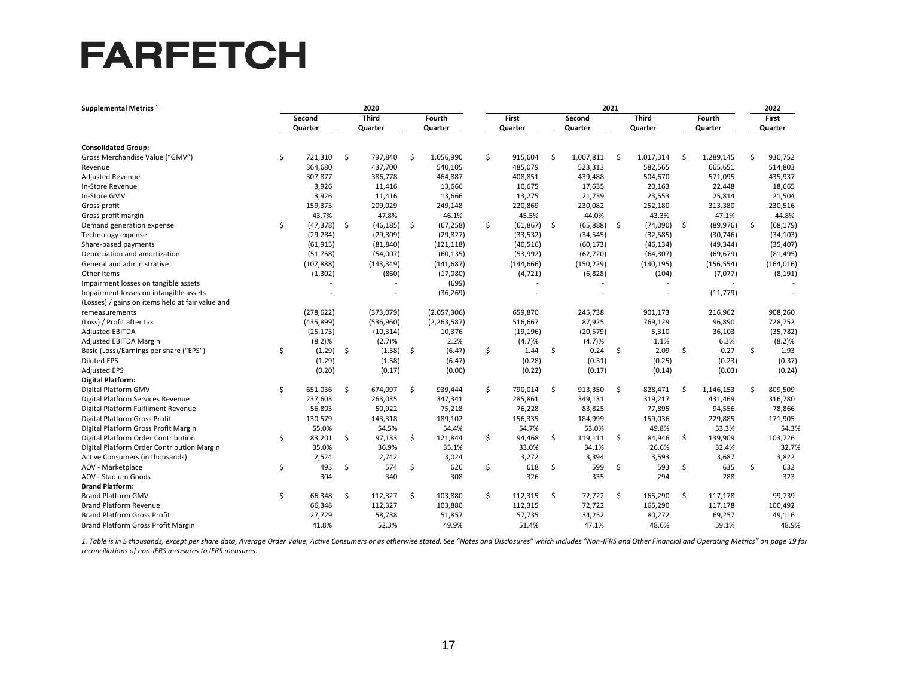| Supplemental Metrics <sup>1</sup>                |    |            |      | 2020         |     |               |                 |     | 2021          |                     | 2022         |         |            |       |            |  |
|--------------------------------------------------|----|------------|------|--------------|-----|---------------|-----------------|-----|---------------|---------------------|--------------|---------|------------|-------|------------|--|
|                                                  |    | Second     |      | <b>Third</b> |     | Fourth        | First           |     | Second        |                     | <b>Third</b> |         | Fourth     | First |            |  |
|                                                  |    | Quarter    |      | Quarter      |     | Quarter       | Quarter         |     | Quarter       |                     | Quarter      | Quarter |            |       | Quarter    |  |
| <b>Consolidated Group:</b>                       |    |            |      |              |     |               |                 |     |               |                     |              |         |            |       |            |  |
| Gross Merchandise Value ("GMV")                  | Ś. | 721,310    | - \$ | 797,840      | Ŝ.  | 1,056,990     | \$<br>915,604   | \$  | 1,007,811     | - \$                | 1,017,314    | S.      | 1,289,145  | Ŝ.    | 930,752    |  |
| Revenue                                          |    | 364,680    |      | 437,700      |     | 540,105       | 485,079         |     | 523,313       |                     | 582,565      |         | 665,651    |       | 514,803    |  |
| <b>Adjusted Revenue</b>                          |    | 307,877    |      | 386,778      |     | 464,887       | 408,851         |     | 439,488       |                     | 504,670      |         | 571,095    |       | 435,937    |  |
| In-Store Revenue                                 |    | 3,926      |      | 11,416       |     | 13,666        | 10,675          |     | 17,635        |                     | 20,163       |         | 22,448     |       | 18,665     |  |
| In-Store GMV                                     |    | 3,926      |      | 11,416       |     | 13,666        | 13,275          |     | 21,739        |                     | 23,553       |         | 25,814     |       | 21,504     |  |
| Gross profit                                     |    | 159,375    |      | 209,029      |     | 249,148       | 220,869         |     | 230,082       |                     | 252,180      |         | 313,380    |       | 230,516    |  |
| Gross profit margin                              |    | 43.7%      |      | 47.8%        |     | 46.1%         | 45.5%           |     | 44.0%         |                     | 43.3%        |         | 47.1%      |       | 44.8%      |  |
| Demand generation expense                        | \$ | (47, 378)  | - \$ | (46, 185)    | \$  | (67, 258)     | \$<br>(61, 867) | -\$ | $(65,888)$ \$ |                     | (74,090)     | - \$    | (89, 976)  | Ŝ.    | (68, 179)  |  |
| Technology expense                               |    | (29, 284)  |      | (29, 809)    |     | (29, 827)     | (33, 532)       |     | (34, 545)     |                     | (32, 585)    |         | (30, 746)  |       | (34, 103)  |  |
| Share-based payments                             |    | (61, 915)  |      | (81, 840)    |     | (121, 118)    | (40, 516)       |     | (60, 173)     |                     | (46, 134)    |         | (49, 344)  |       | (35, 407)  |  |
| Depreciation and amortization                    |    | (51, 758)  |      | (54,007)     |     | (60, 135)     | (53,992)        |     | (62, 720)     |                     | (64, 807)    |         | (69, 679)  |       | (81, 495)  |  |
| General and administrative                       |    | (107, 888) |      | (143, 349)   |     | (141, 687)    | (144, 666)      |     | (150, 229)    |                     | (140, 195)   |         | (156, 554) |       | (164, 016) |  |
| Other items                                      |    | (1, 302)   |      | (860)        |     | (17,080)      | (4, 721)        |     | (6, 828)      |                     | (104)        |         | (7,077)    |       | (8, 191)   |  |
| Impairment losses on tangible assets             |    |            |      |              |     | (699)         |                 |     |               |                     |              |         |            |       |            |  |
| Impairment losses on intangible assets           |    |            |      |              |     | (36, 269)     |                 |     |               |                     |              |         | (11, 779)  |       |            |  |
| (Losses) / gains on items held at fair value and |    |            |      |              |     |               |                 |     |               |                     |              |         |            |       |            |  |
| remeasurements                                   |    | (278, 622) |      | (373,079)    |     | (2,057,306)   | 659,870         |     | 245,738       |                     | 901,173      |         | 216,962    |       | 908,260    |  |
| (Loss) / Profit after tax                        |    | (435, 899) |      | (536,960)    |     | (2, 263, 587) | 516,667         |     | 87,925        |                     | 769,129      |         | 96,890     |       | 728,752    |  |
| <b>Adjusted EBITDA</b>                           |    | (25, 175)  |      | (10, 314)    |     | 10,376        | (19, 196)       |     | (20, 579)     |                     | 5,310        |         | 36,103     |       | (35, 782)  |  |
| <b>Adjusted EBITDA Margin</b>                    |    | (8.2)%     |      | (2.7)%       |     | 2.2%          | (4.7)%          |     | (4.7)%        |                     | 1.1%         |         | 6.3%       |       | (8.2)%     |  |
| Basic (Loss)/Earnings per share ("EPS")          | \$ | (1.29)     | - \$ | (1.58)       | -\$ | (6.47)        | \$<br>1.44      | \$  | 0.24          | \$                  | 2.09         | \$      | 0.27       | Ŝ.    | 1.93       |  |
| <b>Diluted EPS</b>                               |    | (1.29)     |      | (1.58)       |     | (6.47)        | (0.28)          |     | (0.31)        |                     | (0.25)       |         | (0.23)     |       | (0.37)     |  |
| <b>Adjusted EPS</b>                              |    | (0.20)     |      | (0.17)       |     | (0.00)        | (0.22)          |     | (0.17)        |                     | (0.14)       |         | (0.03)     |       | (0.24)     |  |
| <b>Digital Platform:</b>                         |    |            |      |              |     |               |                 |     |               |                     |              |         |            |       |            |  |
| Digital Platform GMV                             | \$ | 651,036    | \$   | 674,097      | \$  | 939,444       | \$<br>790,014   | \$  | 913,350       | $\ddot{\mathsf{s}}$ | 828,471      | -\$     | 1,146,153  | \$    | 809,509    |  |
| Digital Platform Services Revenue                |    | 237,603    |      | 263,035      |     | 347,341       | 285,861         |     | 349,131       |                     | 319,217      |         | 431,469    |       | 316,780    |  |
| Digital Platform Fulfilment Revenue              |    | 56,803     |      | 50,922       |     | 75,218        | 76,228          |     | 83,825        |                     | 77,895       |         | 94,556     |       | 78,866     |  |
| Digital Platform Gross Profit                    |    | 130,579    |      | 143,318      |     | 189,102       | 156,335         |     | 184,999       |                     | 159,036      |         | 229,885    |       | 171,905    |  |
| Digital Platform Gross Profit Margin             |    | 55.0%      |      | 54.5%        |     | 54.4%         | 54.7%           |     | 53.0%         |                     | 49.8%        |         | 53.3%      |       | 54.3%      |  |
| Digital Platform Order Contribution              | Ś  | 83,201     | \$   | 97,133       | \$  | 121,844       | \$<br>94,468    | \$  | 119,111       | -\$                 | 84,946       | \$      | 139,909    |       | 103,726    |  |
| Digital Platform Order Contribution Margin       |    | 35.0%      |      | 36.9%        |     | 35.1%         | 33.0%           |     | 34.1%         |                     | 26.6%        |         | 32.4%      |       | 32.7%      |  |
| Active Consumers (in thousands)                  |    | 2,524      |      | 2,742        |     | 3,024         | 3,272           |     | 3,394         |                     | 3,593        |         | 3,687      |       | 3,822      |  |
| AOV - Marketplace                                | Ś  | 493        | \$   | 574          | \$  | 626           | \$<br>618       | \$  | 599           | \$                  | 593          | \$      | 635        | Ŝ.    | 632        |  |
| <b>AOV - Stadium Goods</b>                       |    | 304        |      | 340          |     | 308           | 326             |     | 335           |                     | 294          |         | 288        |       | 323        |  |
| <b>Brand Platform:</b>                           |    |            |      |              |     |               |                 |     |               |                     |              |         |            |       |            |  |
| <b>Brand Platform GMV</b>                        | \$ | 66,348     | -\$  | 112,327      | \$  | 103,880       | \$<br>112,315   | \$  | 72,722        | - \$                | 165,290      | S.      | 117,178    |       | 99,739     |  |
| <b>Brand Platform Revenue</b>                    |    | 66,348     |      | 112,327      |     | 103,880       | 112,315         |     | 72,722        |                     | 165,290      |         | 117,178    |       | 100,492    |  |
| <b>Brand Platform Gross Profit</b>               |    | 27,729     |      | 58,738       |     | 51,857        | 57,735          |     | 34,252        |                     | 80,272       |         | 69,257     |       | 49,116     |  |
| Brand Platform Gross Profit Margin               |    | 41.8%      |      | 52.3%        |     | 49.9%         | 51.4%           |     | 47.1%         |                     | 48.6%        |         | 59.1%      |       | 48.9%      |  |

1. Table is in \$ thousands, except per share data, Average Order Value, Active Consumers or as otherwise stated. See "Notes and Disclosures" which includes "Non-IFRS and Other Financial and Operating Metrics" on page 19 fo *reconciliations of non-IFRS measures to IFRS measures.*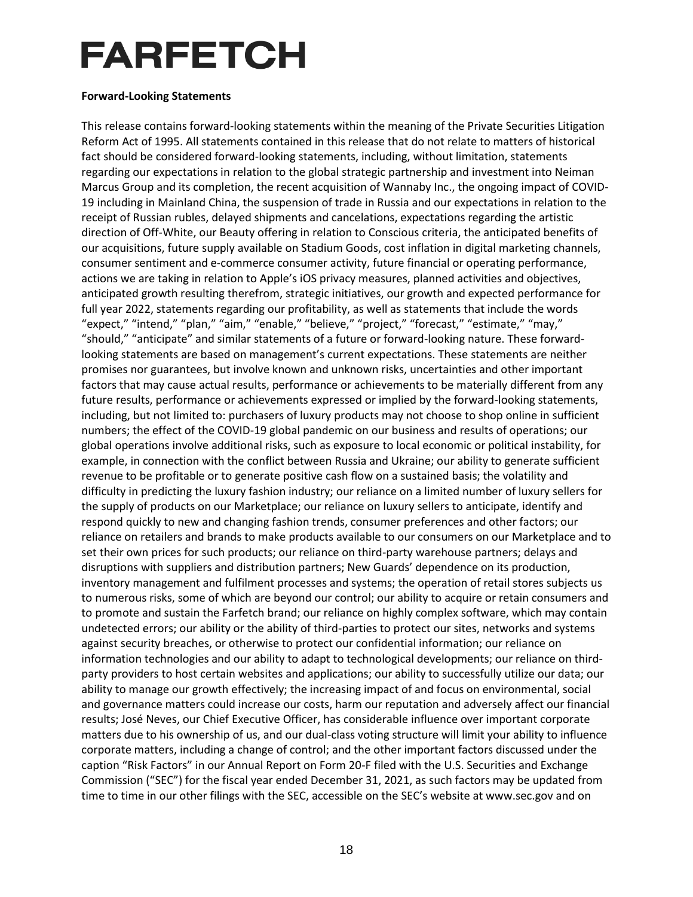#### **Forward-Looking Statements**

This release contains forward-looking statements within the meaning of the Private Securities Litigation Reform Act of 1995. All statements contained in this release that do not relate to matters of historical fact should be considered forward-looking statements, including, without limitation, statements regarding our expectations in relation to the global strategic partnership and investment into Neiman Marcus Group and its completion, the recent acquisition of Wannaby Inc., the ongoing impact of COVID-19 including in Mainland China, the suspension of trade in Russia and our expectations in relation to the receipt of Russian rubles, delayed shipments and cancelations, expectations regarding the artistic direction of Off-White, our Beauty offering in relation to Conscious criteria, the anticipated benefits of our acquisitions, future supply available on Stadium Goods, cost inflation in digital marketing channels, consumer sentiment and e-commerce consumer activity, future financial or operating performance, actions we are taking in relation to Apple's iOS privacy measures, planned activities and objectives, anticipated growth resulting therefrom, strategic initiatives, our growth and expected performance for full year 2022, statements regarding our profitability, as well as statements that include the words "expect," "intend," "plan," "aim," "enable," "believe," "project," "forecast," "estimate," "may," "should," "anticipate" and similar statements of a future or forward-looking nature. These forwardlooking statements are based on management's current expectations. These statements are neither promises nor guarantees, but involve known and unknown risks, uncertainties and other important factors that may cause actual results, performance or achievements to be materially different from any future results, performance or achievements expressed or implied by the forward-looking statements, including, but not limited to: purchasers of luxury products may not choose to shop online in sufficient numbers; the effect of the COVID-19 global pandemic on our business and results of operations; our global operations involve additional risks, such as exposure to local economic or political instability, for example, in connection with the conflict between Russia and Ukraine; our ability to generate sufficient revenue to be profitable or to generate positive cash flow on a sustained basis; the volatility and difficulty in predicting the luxury fashion industry; our reliance on a limited number of luxury sellers for the supply of products on our Marketplace; our reliance on luxury sellers to anticipate, identify and respond quickly to new and changing fashion trends, consumer preferences and other factors; our reliance on retailers and brands to make products available to our consumers on our Marketplace and to set their own prices for such products; our reliance on third-party warehouse partners; delays and disruptions with suppliers and distribution partners; New Guards' dependence on its production, inventory management and fulfilment processes and systems; the operation of retail stores subjects us to numerous risks, some of which are beyond our control; our ability to acquire or retain consumers and to promote and sustain the Farfetch brand; our reliance on highly complex software, which may contain undetected errors; our ability or the ability of third-parties to protect our sites, networks and systems against security breaches, or otherwise to protect our confidential information; our reliance on information technologies and our ability to adapt to technological developments; our reliance on thirdparty providers to host certain websites and applications; our ability to successfully utilize our data; our ability to manage our growth effectively; the increasing impact of and focus on environmental, social and governance matters could increase our costs, harm our reputation and adversely affect our financial results; José Neves, our Chief Executive Officer, has considerable influence over important corporate matters due to his ownership of us, and our dual-class voting structure will limit your ability to influence corporate matters, including a change of control; and the other important factors discussed under the caption "Risk Factors" in our Annual Report on Form 20-F filed with the U.S. Securities and Exchange Commission ("SEC") for the fiscal year ended December 31, 2021, as such factors may be updated from time to time in our other filings with the SEC, accessible on the SEC's website at www.sec.gov and on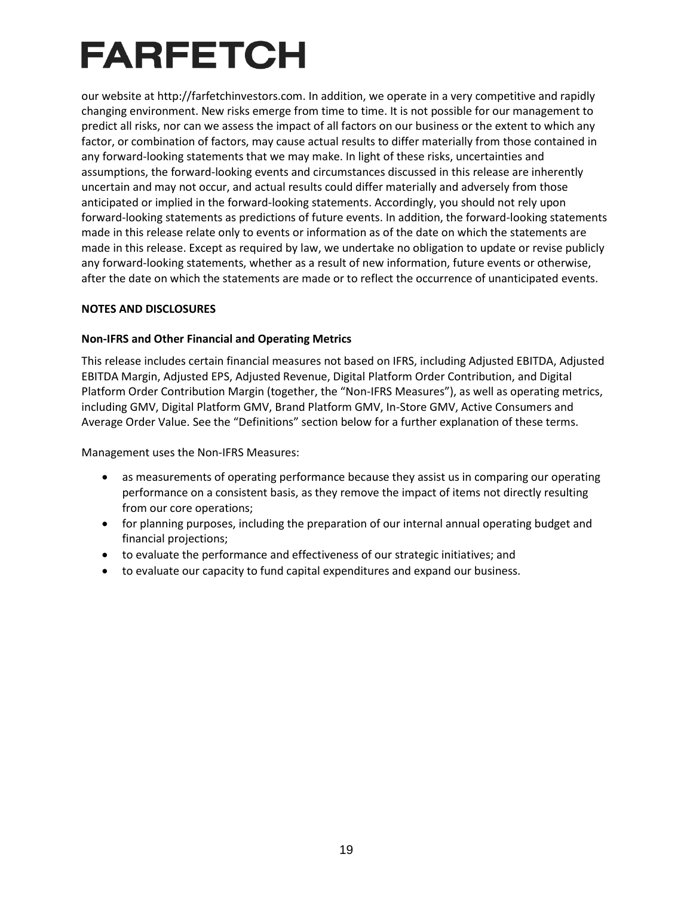our website at http://farfetchinvestors.com. In addition, we operate in a very competitive and rapidly changing environment. New risks emerge from time to time. It is not possible for our management to predict all risks, nor can we assess the impact of all factors on our business or the extent to which any factor, or combination of factors, may cause actual results to differ materially from those contained in any forward-looking statements that we may make. In light of these risks, uncertainties and assumptions, the forward-looking events and circumstances discussed in this release are inherently uncertain and may not occur, and actual results could differ materially and adversely from those anticipated or implied in the forward-looking statements. Accordingly, you should not rely upon forward-looking statements as predictions of future events. In addition, the forward-looking statements made in this release relate only to events or information as of the date on which the statements are made in this release. Except as required by law, we undertake no obligation to update or revise publicly any forward-looking statements, whether as a result of new information, future events or otherwise, after the date on which the statements are made or to reflect the occurrence of unanticipated events.

#### **NOTES AND DISCLOSURES**

#### **Non-IFRS and Other Financial and Operating Metrics**

This release includes certain financial measures not based on IFRS, including Adjusted EBITDA, Adjusted EBITDA Margin, Adjusted EPS, Adjusted Revenue, Digital Platform Order Contribution, and Digital Platform Order Contribution Margin (together, the "Non-IFRS Measures"), as well as operating metrics, including GMV, Digital Platform GMV, Brand Platform GMV, In-Store GMV, Active Consumers and Average Order Value. See the "Definitions" section below for a further explanation of these terms.

Management uses the Non-IFRS Measures:

- as measurements of operating performance because they assist us in comparing our operating performance on a consistent basis, as they remove the impact of items not directly resulting from our core operations;
- for planning purposes, including the preparation of our internal annual operating budget and financial projections;
- to evaluate the performance and effectiveness of our strategic initiatives; and
- to evaluate our capacity to fund capital expenditures and expand our business.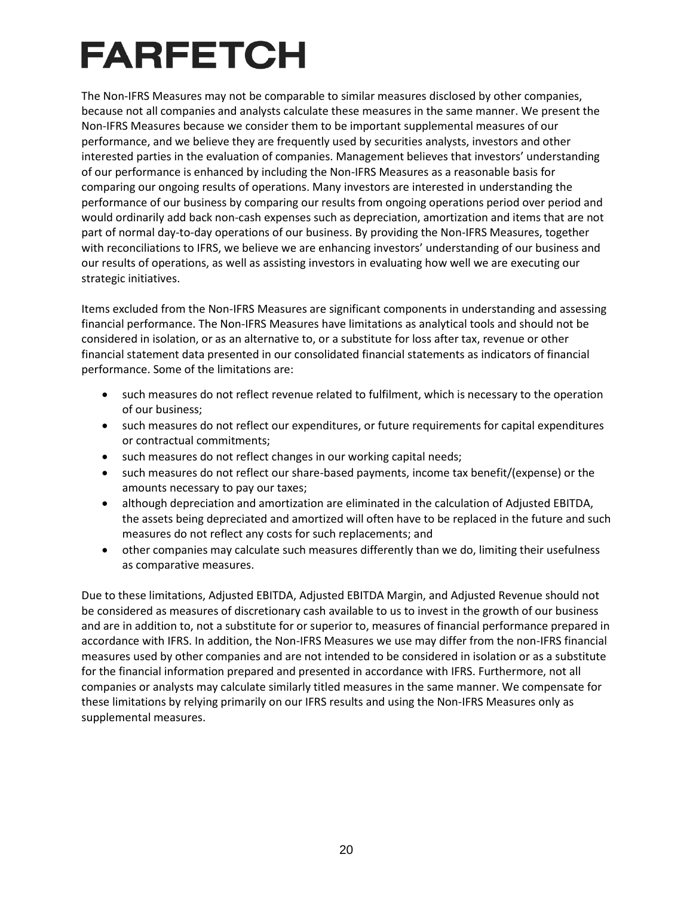The Non-IFRS Measures may not be comparable to similar measures disclosed by other companies, because not all companies and analysts calculate these measures in the same manner. We present the Non-IFRS Measures because we consider them to be important supplemental measures of our performance, and we believe they are frequently used by securities analysts, investors and other interested parties in the evaluation of companies. Management believes that investors' understanding of our performance is enhanced by including the Non-IFRS Measures as a reasonable basis for comparing our ongoing results of operations. Many investors are interested in understanding the performance of our business by comparing our results from ongoing operations period over period and would ordinarily add back non-cash expenses such as depreciation, amortization and items that are not part of normal day-to-day operations of our business. By providing the Non-IFRS Measures, together with reconciliations to IFRS, we believe we are enhancing investors' understanding of our business and our results of operations, as well as assisting investors in evaluating how well we are executing our strategic initiatives.

Items excluded from the Non-IFRS Measures are significant components in understanding and assessing financial performance. The Non-IFRS Measures have limitations as analytical tools and should not be considered in isolation, or as an alternative to, or a substitute for loss after tax, revenue or other financial statement data presented in our consolidated financial statements as indicators of financial performance. Some of the limitations are:

- such measures do not reflect revenue related to fulfilment, which is necessary to the operation of our business;
- such measures do not reflect our expenditures, or future requirements for capital expenditures or contractual commitments;
- such measures do not reflect changes in our working capital needs;
- such measures do not reflect our share-based payments, income tax benefit/(expense) or the amounts necessary to pay our taxes;
- although depreciation and amortization are eliminated in the calculation of Adjusted EBITDA, the assets being depreciated and amortized will often have to be replaced in the future and such measures do not reflect any costs for such replacements; and
- other companies may calculate such measures differently than we do, limiting their usefulness as comparative measures.

Due to these limitations, Adjusted EBITDA, Adjusted EBITDA Margin, and Adjusted Revenue should not be considered as measures of discretionary cash available to us to invest in the growth of our business and are in addition to, not a substitute for or superior to, measures of financial performance prepared in accordance with IFRS. In addition, the Non-IFRS Measures we use may differ from the non-IFRS financial measures used by other companies and are not intended to be considered in isolation or as a substitute for the financial information prepared and presented in accordance with IFRS. Furthermore, not all companies or analysts may calculate similarly titled measures in the same manner. We compensate for these limitations by relying primarily on our IFRS results and using the Non-IFRS Measures only as supplemental measures.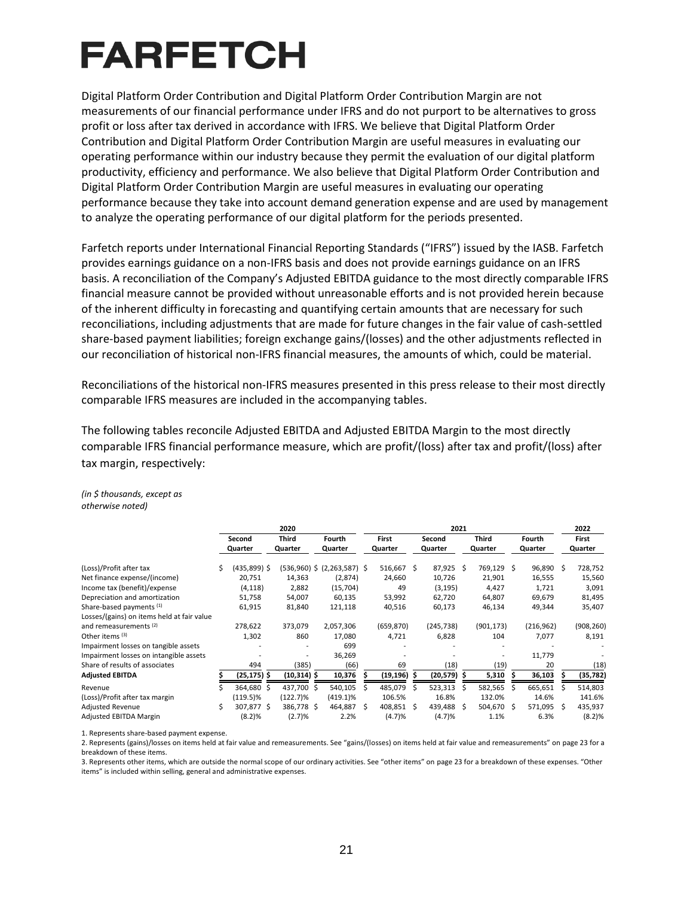Digital Platform Order Contribution and Digital Platform Order Contribution Margin are not measurements of our financial performance under IFRS and do not purport to be alternatives to gross profit or loss after tax derived in accordance with IFRS. We believe that Digital Platform Order Contribution and Digital Platform Order Contribution Margin are useful measures in evaluating our operating performance within our industry because they permit the evaluation of our digital platform productivity, efficiency and performance. We also believe that Digital Platform Order Contribution and Digital Platform Order Contribution Margin are useful measures in evaluating our operating performance because they take into account demand generation expense and are used by management to analyze the operating performance of our digital platform for the periods presented.

Farfetch reports under International Financial Reporting Standards ("IFRS") issued by the IASB. Farfetch provides earnings guidance on a non-IFRS basis and does not provide earnings guidance on an IFRS basis. A reconciliation of the Company's Adjusted EBITDA guidance to the most directly comparable IFRS financial measure cannot be provided without unreasonable efforts and is not provided herein because of the inherent difficulty in forecasting and quantifying certain amounts that are necessary for such reconciliations, including adjustments that are made for future changes in the fair value of cash-settled share-based payment liabilities; foreign exchange gains/(losses) and the other adjustments reflected in our reconciliation of historical non-IFRS financial measures, the amounts of which, could be material.

Reconciliations of the historical non-IFRS measures presented in this press release to their most directly comparable IFRS measures are included in the accompanying tables.

The following tables reconcile Adjusted EBITDA and Adjusted EBITDA Margin to the most directly comparable IFRS financial performance measure, which are profit/(loss) after tax and profit/(loss) after tax margin, respectively:

*(in \$ thousands, except as otherwise noted)*

|                                            |   |              | 2020           |         |                             |     | 2022            |    |               |    |              |    |            |      |            |
|--------------------------------------------|---|--------------|----------------|---------|-----------------------------|-----|-----------------|----|---------------|----|--------------|----|------------|------|------------|
|                                            |   | Second       | Third          |         | Fourth                      |     | First<br>Second |    |               |    | <b>Third</b> |    | Fourth     |      | First      |
|                                            |   | Quarter      | Quarter        | Quarter |                             |     | Quarter         |    | Quarter       |    | Quarter      |    | Quarter    |      | Quarter    |
| (Loss)/Profit after tax                    |   | (435,899) \$ |                |         | (536,960) \$ (2,263,587) \$ |     | $516,667$ \$    |    | $87,925$ \$   |    | 769,129 \$   |    | 96,890     | - \$ | 728,752    |
| Net finance expense/(income)               |   | 20,751       | 14,363         |         | (2,874)                     |     | 24,660          |    | 10,726        |    | 21,901       |    | 16,555     |      | 15,560     |
| Income tax (benefit)/expense               |   | (4, 118)     | 2,882          |         | (15, 704)                   |     | 49              |    | (3, 195)      |    | 4,427        |    | 1,721      |      | 3,091      |
| Depreciation and amortization              |   | 51,758       | 54,007         |         | 60,135                      |     | 53,992          |    | 62,720        |    | 64,807       |    | 69,679     |      | 81,495     |
| Share-based payments (1)                   |   | 61,915       | 81,840         |         | 121,118                     |     | 40,516          |    | 60,173        |    | 46,134       |    | 49,344     |      | 35,407     |
| Losses/(gains) on items held at fair value |   |              |                |         |                             |     |                 |    |               |    |              |    |            |      |            |
| and remeasurements (2)                     |   | 278,622      | 373,079        |         | 2,057,306                   |     | (659, 870)      |    | (245, 738)    |    | (901, 173)   |    | (216, 962) |      | (908, 260) |
| Other items <sup>(3)</sup>                 |   | 1,302        | 860            |         | 17,080                      |     | 4,721           |    | 6,828         |    | 104          |    | 7,077      |      | 8,191      |
| Impairment losses on tangible assets       |   |              |                |         | 699                         |     |                 |    |               |    |              |    |            |      |            |
| Impairment losses on intangible assets     |   |              |                |         | 36,269                      |     |                 |    |               |    |              |    | 11,779     |      |            |
| Share of results of associates             |   | 494          | (385)          |         | (66)                        |     | 69              |    | (18)          |    | (19)         |    | 20         |      | (18)       |
| <b>Adjusted EBITDA</b>                     |   | (25,175) \$  | $(10, 314)$ \$ |         | 10,376                      |     | $(19, 196)$ \$  |    | $(20,579)$ \$ |    | 5,310        | S  | 36,103     |      | (35, 782)  |
| Revenue                                    |   | 364,680 \$   | 437,700 \$     |         | 540,105                     | Ŝ.  | 485,079         | Ŝ. | 523,313       | -Ś | 582,565      | -S | 665,651    |      | 514,803    |
| (Loss)/Profit after tax margin             |   | (119.5)%     | $(122.7)\%$    |         | $(419.1)\%$                 |     | 106.5%          |    | 16.8%         |    | 132.0%       |    | 14.6%      |      | 141.6%     |
| <b>Adjusted Revenue</b>                    | Ś | 307,877 \$   | 386,778 \$     |         | 464,887                     | - S | 408,851 \$      |    | 439,488 \$    |    | 504,670 \$   |    | 571,095 \$ |      | 435,937    |
| <b>Adjusted EBITDA Margin</b>              |   | (8.2)%       | (2.7)%         |         | 2.2%                        |     | (4.7)%          |    | (4.7)%        |    | 1.1%         |    | 6.3%       |      | (8.2)%     |

1. Represents share-based payment expense.

2. Represents (gains)/losses on items held at fair value and remeasurements. See "gains/(losses) on items held at fair value and remeasurements" on page 23 for a breakdown of these items.

3. Represents other items, which are outside the normal scope of our ordinary activities. See "other items" on page 23 for a breakdown of these expenses. "Other items" is included within selling, general and administrative expenses.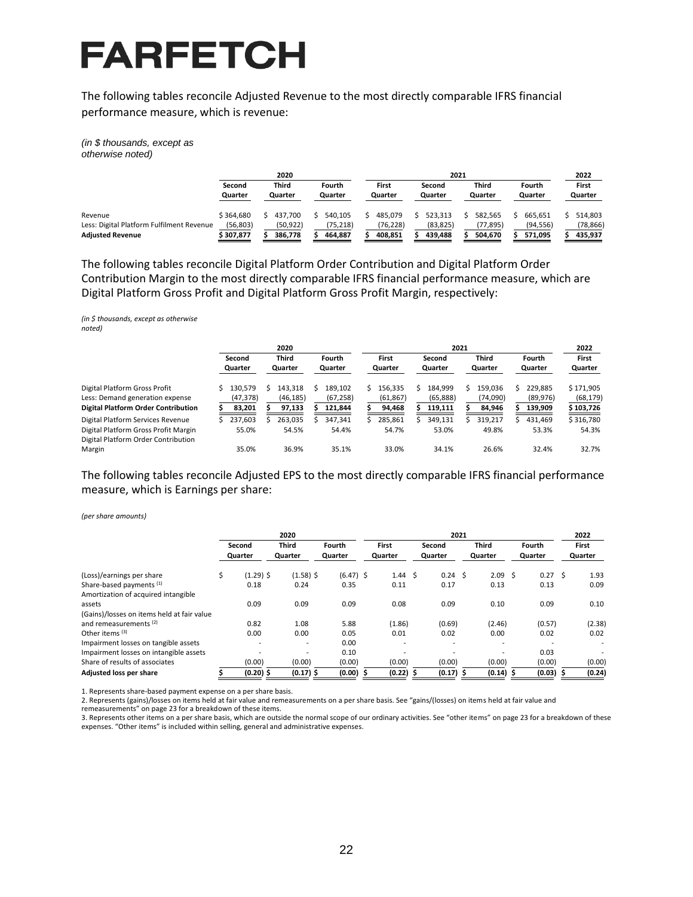The following tables reconcile Adjusted Revenue to the most directly comparable IFRS financial performance measure, which is revenue:

#### *(in \$ thousands, except as otherwise noted)*

|                                                      | 2020                   |  |                         |                   |                      |  |                      |                      | 2022 |                         |  |                      |                     |
|------------------------------------------------------|------------------------|--|-------------------------|-------------------|----------------------|--|----------------------|----------------------|------|-------------------------|--|----------------------|---------------------|
|                                                      | Second<br>Quarter      |  | <b>Third</b><br>Quarter | Fourth<br>Quarter |                      |  | First<br>Quarter     | Second<br>Quarter    |      | <b>Third</b><br>Quarter |  | Fourth<br>Quarter    | First<br>Quarter    |
| Revenue<br>Less: Digital Platform Fulfilment Revenue | \$364.680<br>(56, 803) |  | 437.700<br>(50,922)     |                   | 540.105<br>(75, 218) |  | 485.079<br>(76, 228) | 523.313<br>(83, 825) |      | 582.565<br>(77, 895)    |  | 665.651<br>(94, 556) | 514.803<br>(78,866) |
| <b>Adjusted Revenue</b>                              | \$307,877              |  | 386,778                 |                   | 464,887              |  | 408.851              | 439.488              |      | 504.670                 |  | 571,095              | 435.937             |

The following tables reconcile Digital Platform Order Contribution and Digital Platform Order Contribution Margin to the most directly comparable IFRS financial performance measure, which are Digital Platform Gross Profit and Digital Platform Gross Profit Margin, respectively:

*(in \$ thousands, except as otherwise noted)*

|                                                                                                         |  |                                |  | 2020                               |  |                                 |                  |                                |                   | 2022                           |                         |                               |                   |                                 |                                     |  |
|---------------------------------------------------------------------------------------------------------|--|--------------------------------|--|------------------------------------|--|---------------------------------|------------------|--------------------------------|-------------------|--------------------------------|-------------------------|-------------------------------|-------------------|---------------------------------|-------------------------------------|--|
|                                                                                                         |  | Second<br>Quarter              |  | <b>Third</b><br>Quarter<br>Quarter |  | Fourth                          | First<br>Quarter |                                | Second<br>Quarter |                                | <b>Third</b><br>Quarter |                               | Fourth<br>Quarter |                                 | First<br>Quarter                    |  |
| Digital Platform Gross Profit<br>Less: Demand generation expense<br>Digital Platform Order Contribution |  | 130.579<br>(47, 378)<br>83,201 |  | 143.318<br>(46, 185)<br>97.133     |  | 189.102<br>(67, 258)<br>121,844 |                  | 156.335<br>(61, 867)<br>94,468 |                   | 184.999<br>(65,888)<br>119.111 |                         | 159.036<br>(74,090)<br>84.946 |                   | 229.885<br>(89, 976)<br>139.909 | \$171,905<br>(68, 179)<br>\$103,726 |  |
| Digital Platform Services Revenue<br>Digital Platform Gross Profit Margin                               |  | 237.603<br>55.0%               |  | 263.035<br>54.5%                   |  | 347,341<br>54.4%                | ς.               | 285,861<br>54.7%               | ς.                | 349.131<br>53.0%               |                         | 319.217<br>49.8%              | ς                 | 431.469<br>53.3%                | \$316,780<br>54.3%                  |  |
| Digital Platform Order Contribution<br>Margin                                                           |  | 35.0%                          |  | 36.9%                              |  | 35.1%                           |                  | 33.0%                          |                   | 34.1%                          |                         | 26.6%                         |                   | 32.4%                           | 32.7%                               |  |

The following tables reconcile Adjusted EPS to the most directly comparable IFRS financial performance measure, which is Earnings per share:

*(per share amounts)*

|                                            |   |                          | 2020                     |             |         | 2022 |             |    |                          |    |             |    |                          |
|--------------------------------------------|---|--------------------------|--------------------------|-------------|---------|------|-------------|----|--------------------------|----|-------------|----|--------------------------|
|                                            |   | Second                   | <b>Third</b>             | Fourth      | First   |      | Second      |    | <b>Third</b>             |    | Fourth      |    | First                    |
|                                            |   | Quarter                  | Quarter                  | Quarter     | Quarter |      | Quarter     |    | Quarter                  |    | Quarter     |    | Quarter                  |
| (Loss)/earnings per share                  | Ś | $(1.29)$ \$              | $(1.58)$ \$              | $(6.47)$ \$ | 1.44    | Ŝ.   | 0.24        | Ŝ. | 2.09                     | Ŝ. | 0.27        | .s | 1.93                     |
| Share-based payments (1)                   |   | 0.18                     | 0.24                     | 0.35        | 0.11    |      | 0.17        |    | 0.13                     |    | 0.13        |    | 0.09                     |
| Amortization of acquired intangible        |   |                          |                          |             |         |      |             |    |                          |    |             |    |                          |
| assets                                     |   | 0.09                     | 0.09                     | 0.09        | 0.08    |      | 0.09        |    | 0.10                     |    | 0.09        |    | 0.10                     |
| (Gains)/losses on items held at fair value |   |                          |                          |             |         |      |             |    |                          |    |             |    |                          |
| and remeasurements (2)                     |   | 0.82                     | 1.08                     | 5.88        | (1.86)  |      | (0.69)      |    | (2.46)                   |    | (0.57)      |    | (2.38)                   |
| Other items (3)                            |   | 0.00                     | 0.00                     | 0.05        | 0.01    |      | 0.02        |    | 0.00                     |    | 0.02        |    | 0.02                     |
| Impairment losses on tangible assets       |   | $\overline{\phantom{0}}$ | $\overline{\phantom{a}}$ | 0.00        |         |      |             |    | $\overline{\phantom{a}}$ |    |             |    | $\overline{\phantom{a}}$ |
| Impairment losses on intangible assets     |   |                          |                          | 0.10        |         |      |             |    |                          |    | 0.03        |    |                          |
| Share of results of associates             |   | (0.00)                   | (0.00)                   | (0.00)      | (0.00)  |      | (0.00)      |    | (0.00)                   |    | (0.00)      |    | (0.00)                   |
| <b>Adiusted loss per share</b>             |   | $(0.20)$ \$              | $(0.17)$ \$              | (0.00)      | (0.22)  |      | $(0.17)$ \$ |    | $(0.14)$ \$              |    | $(0.03)$ \$ |    | (0.24)                   |

1. Represents share-based payment expense on a per share basis.

2. Represents (gains)/losses on items held at fair value and remeasurements on a per share basis. See "gains/(losses) on items held at fair value and

remeasurements" on page 23 for a breakdown of these items.

3. Represents other items on a per share basis, which are outside the normal scope of our ordinary activities. See "other items" on page 23 for a breakdown of these expenses. "Other items" is included within selling, general and administrative expenses.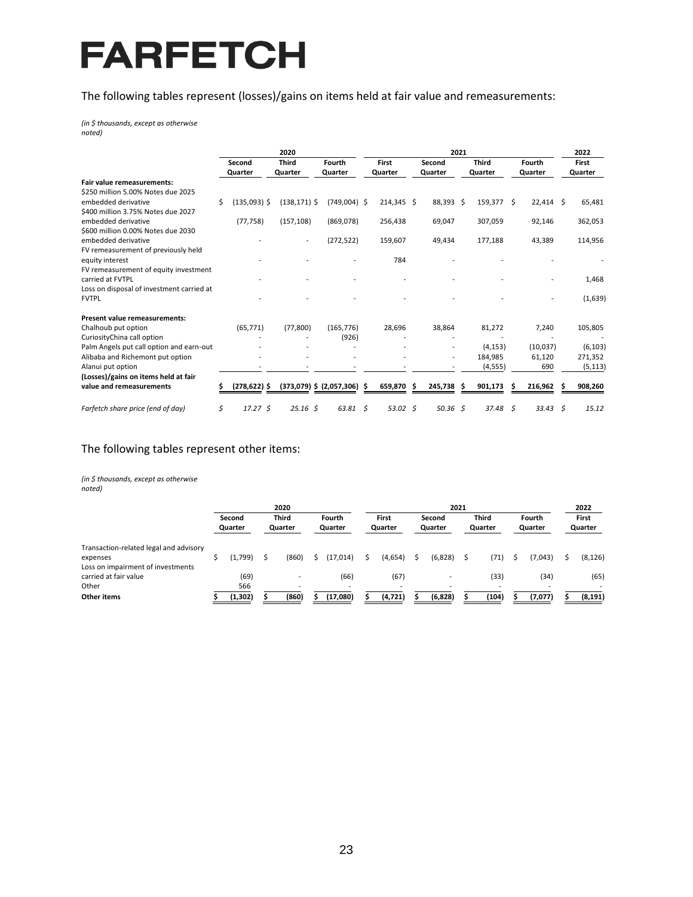The following tables represent (losses)/gains on items held at fair value and remeasurements:

*(in \$ thousands, except as otherwise noted)*

|                                           |                          | 2020            |  |                                 |    | 2022            |    |           |   |              |   |             |   |          |
|-------------------------------------------|--------------------------|-----------------|--|---------------------------------|----|-----------------|----|-----------|---|--------------|---|-------------|---|----------|
|                                           | Second                   | <b>Third</b>    |  | Fourth                          |    | First           |    | Second    |   | <b>Third</b> |   | Fourth      |   | First    |
|                                           | Quarter                  | Quarter         |  | Quarter                         |    | Quarter         |    | Quarter   |   | Quarter      |   | Quarter     |   | Quarter  |
| <b>Fair value remeasurements:</b>         |                          |                 |  |                                 |    |                 |    |           |   |              |   |             |   |          |
| \$250 million 5.00% Notes due 2025        |                          |                 |  |                                 |    |                 |    |           |   |              |   |             |   |          |
| embedded derivative                       | \$<br>$(135.093)$ \$     | $(138, 171)$ \$ |  | $(749,004)$ \$                  |    | 214,345 \$      |    | 88,393 \$ |   | 159,377 \$   |   | $22,414$ \$ |   | 65,481   |
| \$400 million 3.75% Notes due 2027        |                          |                 |  |                                 |    |                 |    |           |   |              |   |             |   |          |
| embedded derivative                       | (77, 758)                | (157, 108)      |  | (869,078)                       |    | 256,438         |    | 69,047    |   | 307,059      |   | 92,146      |   | 362,053  |
| \$600 million 0.00% Notes due 2030        |                          |                 |  |                                 |    |                 |    |           |   |              |   |             |   |          |
| embedded derivative                       |                          | ۰               |  | (272, 522)                      |    | 159,607         |    | 49,434    |   | 177,188      |   | 43,389      |   | 114,956  |
| FV remeasurement of previously held       |                          |                 |  |                                 |    |                 |    |           |   |              |   |             |   |          |
| equity interest                           |                          |                 |  |                                 |    | 784             |    |           |   |              |   |             |   |          |
| FV remeasurement of equity investment     |                          |                 |  |                                 |    |                 |    |           |   |              |   |             |   |          |
| carried at FVTPL                          |                          |                 |  |                                 |    |                 |    |           |   |              |   |             |   | 1,468    |
| Loss on disposal of investment carried at |                          |                 |  |                                 |    |                 |    |           |   |              |   |             |   |          |
| <b>FVTPL</b>                              |                          |                 |  |                                 |    |                 |    |           |   |              |   |             |   | (1,639)  |
| <b>Present value remeasurements:</b>      |                          |                 |  |                                 |    |                 |    |           |   |              |   |             |   |          |
| Chalhoub put option                       | (65, 771)                | (77, 800)       |  | (165, 776)                      |    | 28,696          |    | 38,864    |   | 81,272       |   | 7,240       |   | 105,805  |
| CuriosityChina call option                |                          |                 |  | (926)                           |    |                 |    |           |   |              |   |             |   |          |
| Palm Angels put call option and earn-out  |                          |                 |  |                                 |    |                 |    |           |   | (4, 153)     |   | (10,037)    |   | (6, 103) |
| Alibaba and Richemont put option          |                          |                 |  |                                 |    |                 |    |           |   | 184,985      |   | 61,120      |   | 271,352  |
| Alanui put option                         |                          |                 |  |                                 |    |                 |    |           |   | (4, 555)     |   | 690         |   | (5, 113) |
| (Losses)/gains on items held at fair      |                          |                 |  |                                 |    |                 |    |           |   |              |   |             |   |          |
| value and remeasurements                  | $(278, 622)$ \$          |                 |  | $(373,079)$ \$ $(2,057,306)$ \$ |    | 659,870         | -S | 245,738   | s | 901,173      | s | 216,962     | s | 908,260  |
| Farfetch share price (end of day)         | \$<br>17.27 <sub>5</sub> | 25.16S          |  | 63.81                           | S. | $53.02 \quad S$ |    | 50.36 \$  |   | 37.48        | Ŝ | 33.43       | S | 15.12    |

#### The following tables represent other items:

*(in \$ thousands, except as otherwise noted)*

|                                                                                         |  |                   |  |                         | 2022 |                          |  |                  |  |                   |  |                  |  |                   |  |                  |
|-----------------------------------------------------------------------------------------|--|-------------------|--|-------------------------|------|--------------------------|--|------------------|--|-------------------|--|------------------|--|-------------------|--|------------------|
|                                                                                         |  | Second<br>Quarter |  | <b>Third</b><br>Quarter |      | Fourth<br>Quarter        |  | First<br>Quarter |  | Second<br>Quarter |  | Third<br>Quarter |  | Fourth<br>Quarter |  | First<br>Quarter |
| Transaction-related legal and advisory<br>expenses<br>Loss on impairment of investments |  | (1,799)           |  | (860)                   |      | (17,014)                 |  | (4,654)          |  | (6,828)           |  | (71)             |  | (7,043)           |  | (8, 126)         |
| carried at fair value                                                                   |  | (69)              |  |                         |      | (66)                     |  | (67)             |  |                   |  | (33)             |  | (34)              |  | (65)             |
| Other                                                                                   |  | 566               |  | -                       |      | $\overline{\phantom{a}}$ |  |                  |  |                   |  |                  |  |                   |  |                  |
| Other items                                                                             |  | (1,302)           |  | (860)                   |      | (17,080)                 |  | (4, 721)         |  | (6,828)           |  | (104)            |  | (7,077)           |  | (8, 191)         |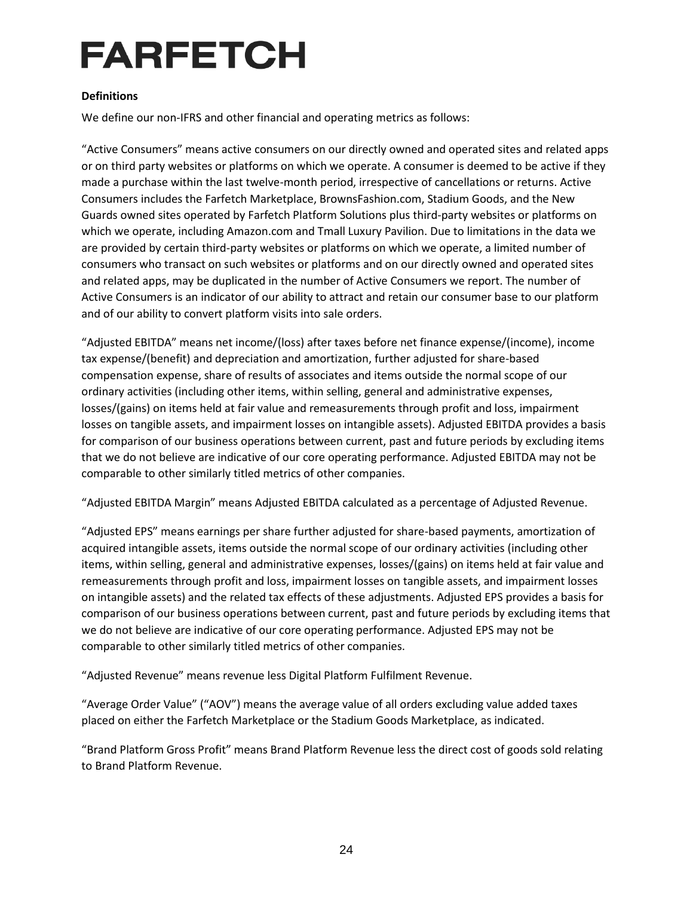#### **Definitions**

We define our non-IFRS and other financial and operating metrics as follows:

"Active Consumers" means active consumers on our directly owned and operated sites and related apps or on third party websites or platforms on which we operate. A consumer is deemed to be active if they made a purchase within the last twelve-month period, irrespective of cancellations or returns. Active Consumers includes the Farfetch Marketplace, BrownsFashion.com, Stadium Goods, and the New Guards owned sites operated by Farfetch Platform Solutions plus third-party websites or platforms on which we operate, including Amazon.com and Tmall Luxury Pavilion. Due to limitations in the data we are provided by certain third-party websites or platforms on which we operate, a limited number of consumers who transact on such websites or platforms and on our directly owned and operated sites and related apps, may be duplicated in the number of Active Consumers we report. The number of Active Consumers is an indicator of our ability to attract and retain our consumer base to our platform and of our ability to convert platform visits into sale orders.

"Adjusted EBITDA" means net income/(loss) after taxes before net finance expense/(income), income tax expense/(benefit) and depreciation and amortization, further adjusted for share-based compensation expense, share of results of associates and items outside the normal scope of our ordinary activities (including other items, within selling, general and administrative expenses, losses/(gains) on items held at fair value and remeasurements through profit and loss, impairment losses on tangible assets, and impairment losses on intangible assets). Adjusted EBITDA provides a basis for comparison of our business operations between current, past and future periods by excluding items that we do not believe are indicative of our core operating performance. Adjusted EBITDA may not be comparable to other similarly titled metrics of other companies.

"Adjusted EBITDA Margin" means Adjusted EBITDA calculated as a percentage of Adjusted Revenue.

"Adjusted EPS" means earnings per share further adjusted for share-based payments, amortization of acquired intangible assets, items outside the normal scope of our ordinary activities (including other items, within selling, general and administrative expenses, losses/(gains) on items held at fair value and remeasurements through profit and loss, impairment losses on tangible assets, and impairment losses on intangible assets) and the related tax effects of these adjustments. Adjusted EPS provides a basis for comparison of our business operations between current, past and future periods by excluding items that we do not believe are indicative of our core operating performance. Adjusted EPS may not be comparable to other similarly titled metrics of other companies.

"Adjusted Revenue" means revenue less Digital Platform Fulfilment Revenue.

"Average Order Value" ("AOV") means the average value of all orders excluding value added taxes placed on either the Farfetch Marketplace or the Stadium Goods Marketplace, as indicated.

"Brand Platform Gross Profit" means Brand Platform Revenue less the direct cost of goods sold relating to Brand Platform Revenue.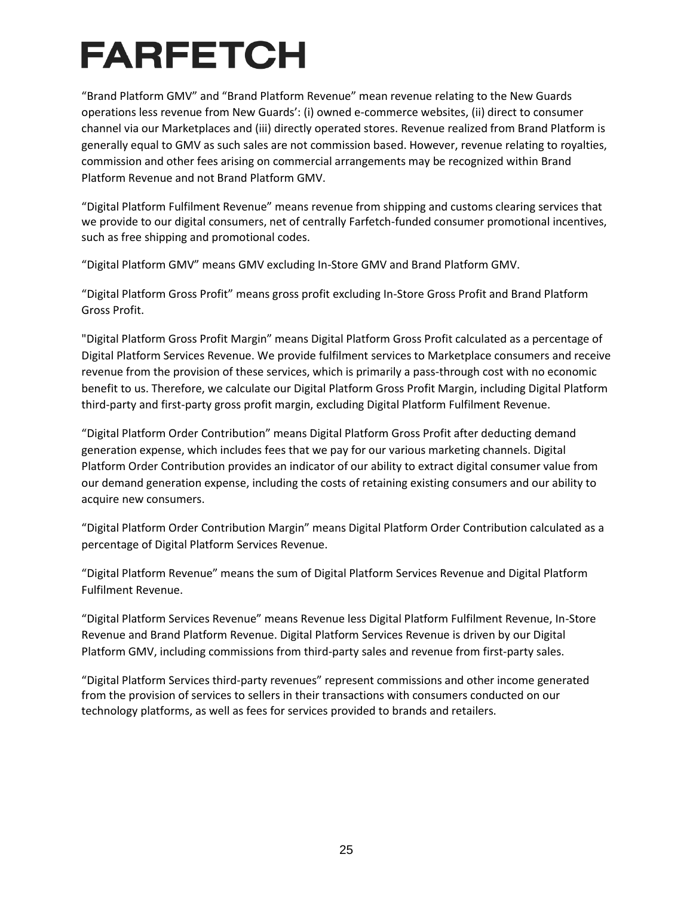"Brand Platform GMV" and "Brand Platform Revenue" mean revenue relating to the New Guards operations less revenue from New Guards': (i) owned e-commerce websites, (ii) direct to consumer channel via our Marketplaces and (iii) directly operated stores. Revenue realized from Brand Platform is generally equal to GMV as such sales are not commission based. However, revenue relating to royalties, commission and other fees arising on commercial arrangements may be recognized within Brand Platform Revenue and not Brand Platform GMV.

"Digital Platform Fulfilment Revenue" means revenue from shipping and customs clearing services that we provide to our digital consumers, net of centrally Farfetch-funded consumer promotional incentives, such as free shipping and promotional codes.

"Digital Platform GMV" means GMV excluding In-Store GMV and Brand Platform GMV.

"Digital Platform Gross Profit" means gross profit excluding In-Store Gross Profit and Brand Platform Gross Profit.

"Digital Platform Gross Profit Margin" means Digital Platform Gross Profit calculated as a percentage of Digital Platform Services Revenue. We provide fulfilment services to Marketplace consumers and receive revenue from the provision of these services, which is primarily a pass-through cost with no economic benefit to us. Therefore, we calculate our Digital Platform Gross Profit Margin, including Digital Platform third-party and first-party gross profit margin, excluding Digital Platform Fulfilment Revenue.

"Digital Platform Order Contribution" means Digital Platform Gross Profit after deducting demand generation expense, which includes fees that we pay for our various marketing channels. Digital Platform Order Contribution provides an indicator of our ability to extract digital consumer value from our demand generation expense, including the costs of retaining existing consumers and our ability to acquire new consumers.

"Digital Platform Order Contribution Margin" means Digital Platform Order Contribution calculated as a percentage of Digital Platform Services Revenue.

"Digital Platform Revenue" means the sum of Digital Platform Services Revenue and Digital Platform Fulfilment Revenue.

"Digital Platform Services Revenue" means Revenue less Digital Platform Fulfilment Revenue, In-Store Revenue and Brand Platform Revenue. Digital Platform Services Revenue is driven by our Digital Platform GMV, including commissions from third-party sales and revenue from first-party sales.

"Digital Platform Services third-party revenues" represent commissions and other income generated from the provision of services to sellers in their transactions with consumers conducted on our technology platforms, as well as fees for services provided to brands and retailers.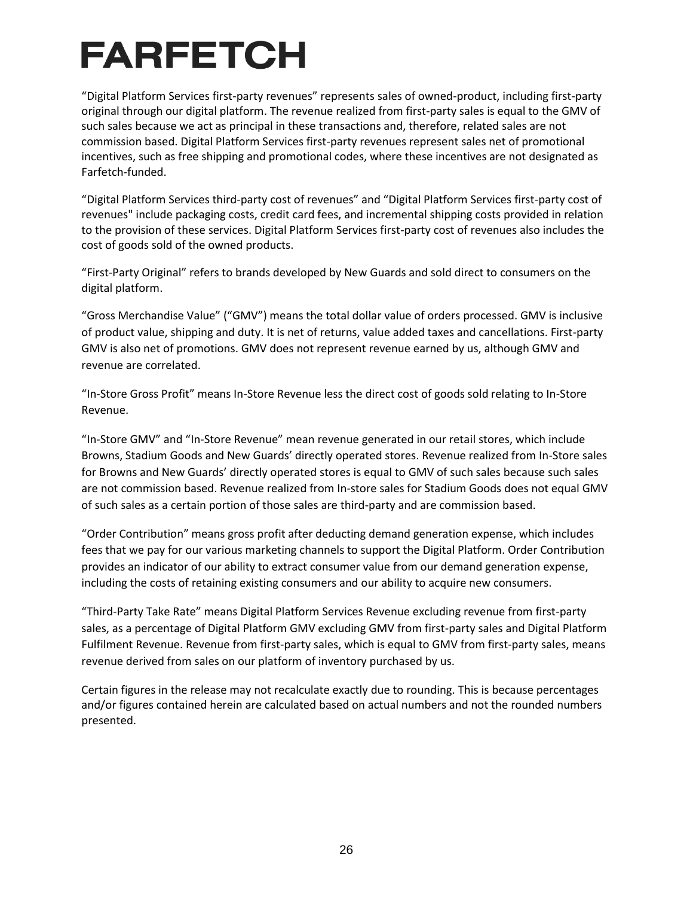"Digital Platform Services first-party revenues" represents sales of owned-product, including first-party original through our digital platform. The revenue realized from first-party sales is equal to the GMV of such sales because we act as principal in these transactions and, therefore, related sales are not commission based. Digital Platform Services first-party revenues represent sales net of promotional incentives, such as free shipping and promotional codes, where these incentives are not designated as Farfetch-funded.

"Digital Platform Services third-party cost of revenues" and "Digital Platform Services first-party cost of revenues" include packaging costs, credit card fees, and incremental shipping costs provided in relation to the provision of these services. Digital Platform Services first-party cost of revenues also includes the cost of goods sold of the owned products.

"First-Party Original" refers to brands developed by New Guards and sold direct to consumers on the digital platform.

"Gross Merchandise Value" ("GMV") means the total dollar value of orders processed. GMV is inclusive of product value, shipping and duty. It is net of returns, value added taxes and cancellations. First-party GMV is also net of promotions. GMV does not represent revenue earned by us, although GMV and revenue are correlated.

"In-Store Gross Profit" means In-Store Revenue less the direct cost of goods sold relating to In-Store Revenue.

"In-Store GMV" and "In-Store Revenue" mean revenue generated in our retail stores, which include Browns, Stadium Goods and New Guards' directly operated stores. Revenue realized from In-Store sales for Browns and New Guards' directly operated stores is equal to GMV of such sales because such sales are not commission based. Revenue realized from In-store sales for Stadium Goods does not equal GMV of such sales as a certain portion of those sales are third-party and are commission based.

"Order Contribution" means gross profit after deducting demand generation expense, which includes fees that we pay for our various marketing channels to support the Digital Platform. Order Contribution provides an indicator of our ability to extract consumer value from our demand generation expense, including the costs of retaining existing consumers and our ability to acquire new consumers.

"Third-Party Take Rate" means Digital Platform Services Revenue excluding revenue from first-party sales, as a percentage of Digital Platform GMV excluding GMV from first-party sales and Digital Platform Fulfilment Revenue. Revenue from first-party sales, which is equal to GMV from first-party sales, means revenue derived from sales on our platform of inventory purchased by us.

Certain figures in the release may not recalculate exactly due to rounding. This is because percentages and/or figures contained herein are calculated based on actual numbers and not the rounded numbers presented.